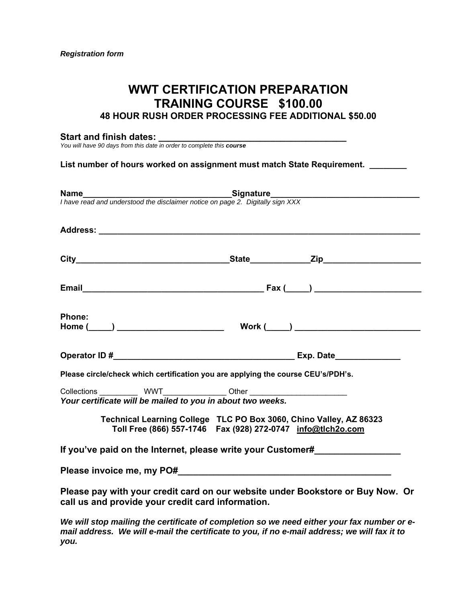## **WWT CERTIFICATION PREPARATION TRAINING COURSE \$100.00 48 HOUR RUSH ORDER PROCESSING FEE ADDITIONAL \$50.00**

#### **Start and finish dates: \_\_\_\_\_\_\_\_\_\_\_\_\_\_\_\_\_\_\_\_\_\_\_\_\_\_\_\_\_\_\_\_\_\_\_\_\_**

*You will have 90 days from this date in order to complete this course*

#### List number of hours worked on assignment must match State Requirement.

|                                                            | <b>Name</b><br>I have read and understood the disclaimer notice on page 2. Digitally sign XXX                                                                                                                                        |
|------------------------------------------------------------|--------------------------------------------------------------------------------------------------------------------------------------------------------------------------------------------------------------------------------------|
|                                                            |                                                                                                                                                                                                                                      |
|                                                            |                                                                                                                                                                                                                                      |
|                                                            |                                                                                                                                                                                                                                      |
|                                                            |                                                                                                                                                                                                                                      |
| Phone:                                                     |                                                                                                                                                                                                                                      |
|                                                            |                                                                                                                                                                                                                                      |
|                                                            | Please circle/check which certification you are applying the course CEU's/PDH's.                                                                                                                                                     |
|                                                            | Collections _____________ WWT_________________ Other ___________________________                                                                                                                                                     |
| Your certificate will be mailed to you in about two weeks. |                                                                                                                                                                                                                                      |
|                                                            | Technical Learning College TLC PO Box 3060, Chino Valley, AZ 86323<br>Toll Free (866) 557-1746  Fax (928) 272-0747  info@tlch2o.com                                                                                                  |
|                                                            | If you've paid on the Internet, please write your Customer#                                                                                                                                                                          |
|                                                            |                                                                                                                                                                                                                                      |
| call us and provide your credit card information.          | Please pay with your credit card on our website under Bookstore or Buy Now. Or                                                                                                                                                       |
|                                                            | $\mathbf{r}$ and $\mathbf{r}$ are the state of the state of the state of the state of the state of the state of the state of the state of the state of the state of the state of the state of the state of the state of the state of |

*We will stop mailing the certificate of completion so we need either your fax number or email address. We will e-mail the certificate to you, if no e-mail address; we will fax it to you.*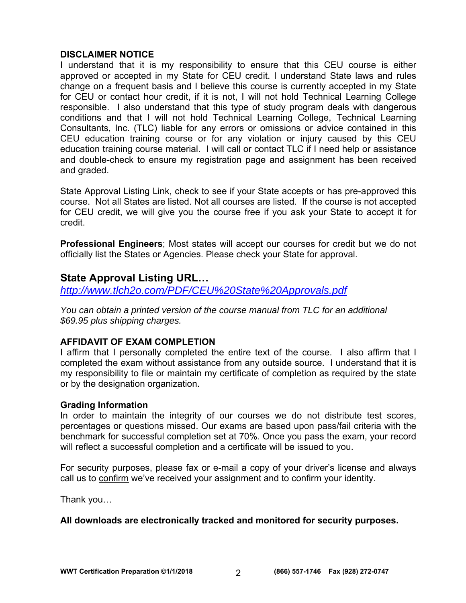### **DISCLAIMER NOTICE**

I understand that it is my responsibility to ensure that this CEU course is either approved or accepted in my State for CEU credit. I understand State laws and rules change on a frequent basis and I believe this course is currently accepted in my State for CEU or contact hour credit, if it is not, I will not hold Technical Learning College responsible. I also understand that this type of study program deals with dangerous conditions and that I will not hold Technical Learning College, Technical Learning Consultants, Inc. (TLC) liable for any errors or omissions or advice contained in this CEU education training course or for any violation or injury caused by this CEU education training course material. I will call or contact TLC if I need help or assistance and double-check to ensure my registration page and assignment has been received and graded.

State Approval Listing Link, check to see if your State accepts or has pre-approved this course. Not all States are listed. Not all courses are listed. If the course is not accepted for CEU credit, we will give you the course free if you ask your State to accept it for credit.

**Professional Engineers**; Most states will accept our courses for credit but we do not officially list the States or Agencies. Please check your State for approval.

## **State Approval Listing URL…**

*http://www.tlch2o.com/PDF/CEU%20State%20Approvals.pdf*

*You can obtain a printed version of the course manual from TLC for an additional \$69.95 plus shipping charges.* 

### **AFFIDAVIT OF EXAM COMPLETION**

I affirm that I personally completed the entire text of the course. I also affirm that I completed the exam without assistance from any outside source. I understand that it is my responsibility to file or maintain my certificate of completion as required by the state or by the designation organization.

### **Grading Information**

In order to maintain the integrity of our courses we do not distribute test scores, percentages or questions missed. Our exams are based upon pass/fail criteria with the benchmark for successful completion set at 70%. Once you pass the exam, your record will reflect a successful completion and a certificate will be issued to you.

For security purposes, please fax or e-mail a copy of your driver's license and always call us to confirm we've received your assignment and to confirm your identity.

Thank you…

### **All downloads are electronically tracked and monitored for security purposes.**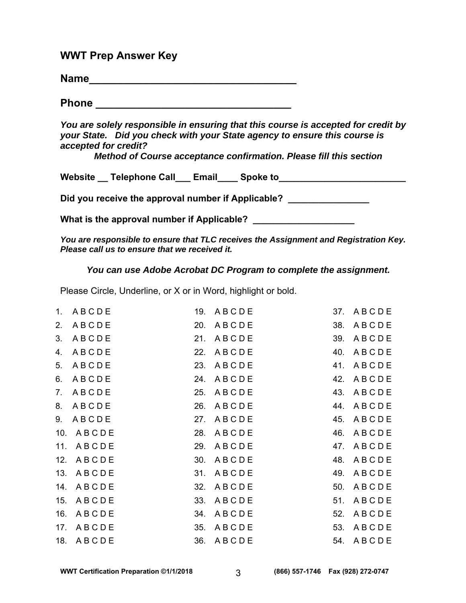### **WWT Prep Answer Key**

| <b>Name</b> |  |  |  |  |
|-------------|--|--|--|--|
|             |  |  |  |  |

**Phone \_\_\_\_\_\_\_\_\_\_\_\_\_\_\_\_\_\_\_\_\_\_\_\_\_\_\_\_\_\_\_\_\_** 

*You are solely responsible in ensuring that this course is accepted for credit by your State. Did you check with your State agency to ensure this course is accepted for credit?* 

*Method of Course acceptance confirmation. Please fill this section* 

Website \_\_ Telephone Call\_\_\_ Email\_\_\_\_ Spoke to \_\_\_\_\_\_\_\_\_\_\_\_\_\_\_\_\_\_\_\_\_\_\_\_\_\_\_\_\_\_\_\_

Did you receive the approval number if Applicable? \_\_\_\_\_\_\_\_\_\_\_\_\_\_\_\_\_\_\_\_\_\_\_\_\_\_\_\_\_\_

**What is the approval number if Applicable? \_\_\_\_\_\_\_\_\_\_\_\_\_\_\_\_\_\_\_\_** 

*You are responsible to ensure that TLC receives the Assignment and Registration Key. Please call us to ensure that we received it.* 

*You can use Adobe Acrobat DC Program to complete the assignment.* 

Please Circle, Underline, or X or in Word, highlight or bold.

|    | 1. ABCDE               | 19. ABCDE | 37. ABCDE |
|----|------------------------|-----------|-----------|
| 2. | ABCDE                  | 20. ABCDE | 38. ABCDE |
| 3. | ABCDE                  | 21. ABCDE | 39. ABCDE |
| 4. | ABCDE                  | 22. ABCDE | 40. ABCDE |
| 5. | ABCDE                  | 23. ABCDE | 41. ABCDE |
| 6. | ABCDE                  | 24. ABCDE | 42. ABCDE |
| 7. | ABCDE                  | 25. ABCDE | 43. ABCDE |
| 8. | 26. A B C D E<br>ABCDE |           | 44. ABCDE |
| 9. | 27. ABCDE<br>ABCDE     |           | 45. ABCDE |
|    | 28. ABCDE<br>10. ABCDE |           | 46. ABCDE |
|    | 11. ABCDE              | 29. ABCDE | 47. ABCDE |
|    | 12. ABCDE              | 30. ABCDE | 48. ABCDE |
|    | 13. ABCDE              | 31. ABCDE | 49. ABCDE |
|    | 14. ABCDE              | 32. ABCDE | 50. ABCDE |
|    | 15. ABCDE              | 33. ABCDE | 51. ABCDE |
|    | 16. ABCDE              | 34. ABCDE | 52. ABCDE |
|    | 17. ABCDE              | 35. ABCDE | 53. ABCDE |
|    | 18. ABCDE              | 36. ABCDE | 54. ABCDE |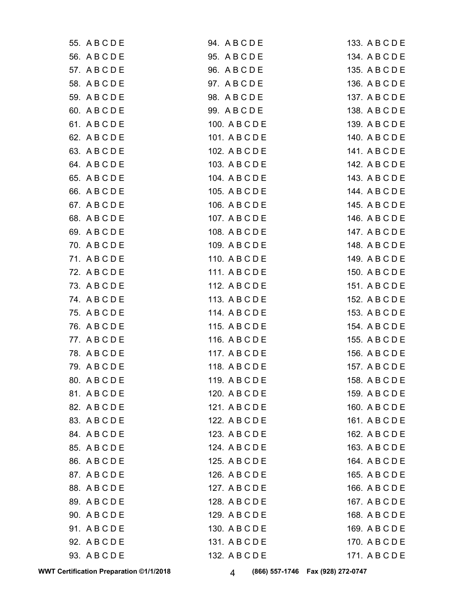| 94. ABCDE      | 133. A B C D E |
|----------------|----------------|
| 95. A B C D E  | 134. A B C D E |
| 96. A B C D E  | 135. A B C D E |
| 97. A B C D E  | 136. A B C D E |
| 98. A B C D E  | 137. A B C D E |
| 99. A B C D E  | 138. A B C D E |
| 100. A B C D E | 139. A B C D E |
| 101. A B C D E | 140. A B C D E |
| 102. A B C D E | 141. A B C D E |
| 103. A B C D E | 142. A B C D E |
| 104. A B C D E | 143. A B C D E |
| 105. A B C D E | 144. A B C D E |
| 106. A B C D E | 145. A B C D E |
| 107. A B C D E | 146. A B C D E |
| 108. A B C D E | 147. A B C D E |
| 109. A B C D E | 148. A B C D E |
| 110. A B C D E | 149. A B C D E |
| 111. A B C D E | 150. A B C D E |
| 112. A B C D E | 151. A B C D E |
| 113. A B C D E | 152. A B C D E |
| 114. A B C D E | 153. A B C D E |
| 115. A B C D E | 154. A B C D E |
| 116. A B C D E | 155. A B C D E |
| 117. A B C D E | 156. A B C D E |
| 118. A B C D E | 157. A B C D E |
| 119. A B C D E | 158. A B C D E |
| 120. A B C D E | 159. A B C D E |
| 121. A B C D E | 160. A B C D E |
| 122. A B C D E | 161. ABCDE     |
| 123. A B C D E | 162. A B C D E |
| 124. A B C D E | 163. A B C D E |
| 125. A B C D E | 164. A B C D E |
| 126. A B C D E | 165. A B C D E |
| 127. A B C D E | 166. A B C D E |
| 128. A B C D E | 167. A B C D E |
| 129. A B C D E | 168. A B C D E |
| 130. A B C D E | 169. A B C D E |
| 131. A B C D E | 170. A B C D E |
| 132. A B C D E | 171. A B C D E |
|                |                |

**WWT Certification Preparation ©1/1/2018 4** (866) 557-1746 Fax (928) 272-0747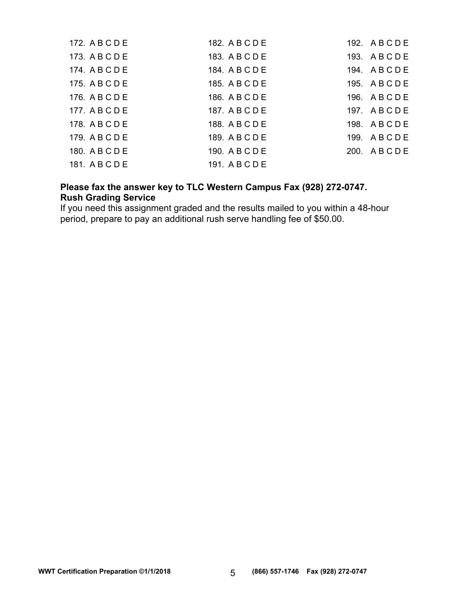| 172. A B C D E | 182. A B C D E | 192. ABCDE |
|----------------|----------------|------------|
| 173. A B C D E | 183. A B C D E | 193. ABCDE |
| 174. A B C D E | 184. A B C D E | 194. ABCDE |
| 175. A B C D E | 185. A B C D E | 195. ABCDE |
| 176. A B C D E | 186. A B C D E | 196. ABCDE |
| 177. A B C D E | 187. A B C D E | 197. ABCDE |
| 178. A B C D E | 188. A B C D E | 198. ABCDE |
| 179. A B C D E | 189. A B C D E | 199. ABCDE |
| 180. A B C D E | 190. A B C D E | 200. ABCDE |
| 181. ABCDE     | 191. A B C D E |            |

### **Please fax the answer key to TLC Western Campus Fax (928) 272-0747. Rush Grading Service**

If you need this assignment graded and the results mailed to you within a 48-hour period, prepare to pay an additional rush serve handling fee of \$50.00.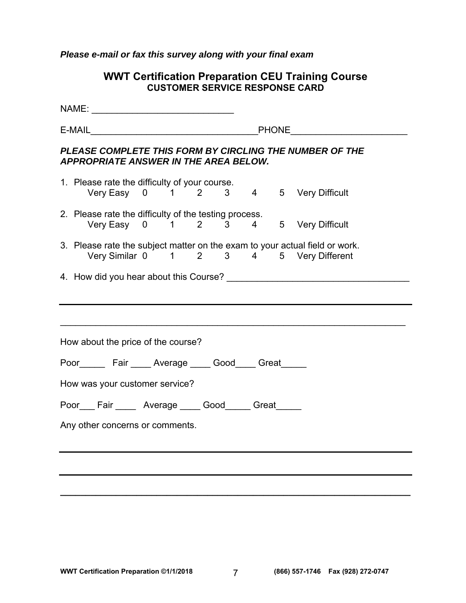*Please e-mail or fax this survey along with your final exam* 

|  | <b>WWT Certification Preparation CEU Training Course</b><br><b>CUSTOMER SERVICE RESPONSE CARD</b>                      |  |  |  |  |  |  |
|--|------------------------------------------------------------------------------------------------------------------------|--|--|--|--|--|--|
|  |                                                                                                                        |  |  |  |  |  |  |
|  |                                                                                                                        |  |  |  |  |  |  |
|  | PLEASE COMPLETE THIS FORM BY CIRCLING THE NUMBER OF THE<br><b>APPROPRIATE ANSWER IN THE AREA BELOW.</b>                |  |  |  |  |  |  |
|  | 1. Please rate the difficulty of your course.<br>Very Easy 0 1 2 3 4 5 Very Difficult                                  |  |  |  |  |  |  |
|  | 2. Please rate the difficulty of the testing process.<br>Very Easy 0 1 2 3 4 5 Very Difficult                          |  |  |  |  |  |  |
|  | 3. Please rate the subject matter on the exam to your actual field or work.<br>Very Similar 0 1 2 3 4 5 Very Different |  |  |  |  |  |  |
|  |                                                                                                                        |  |  |  |  |  |  |
|  | How about the price of the course?                                                                                     |  |  |  |  |  |  |
|  | Poor________ Fair _____ Average _____ Good_____ Great______                                                            |  |  |  |  |  |  |
|  | How was your customer service?                                                                                         |  |  |  |  |  |  |
|  | Poor___ Fair _____ Average ____ Good_____ Great_____                                                                   |  |  |  |  |  |  |
|  | Any other concerns or comments.                                                                                        |  |  |  |  |  |  |
|  |                                                                                                                        |  |  |  |  |  |  |

**\_\_\_\_\_\_\_\_\_\_\_\_\_\_\_\_\_\_\_\_\_\_\_\_\_\_\_\_\_\_\_\_\_\_\_\_\_\_\_\_\_\_\_\_\_\_\_\_\_\_\_\_\_\_\_\_\_\_\_\_\_\_\_\_\_\_\_\_\_**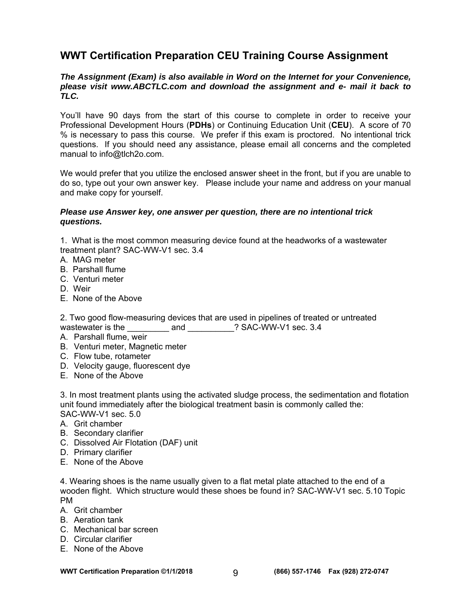# **WWT Certification Preparation CEU Training Course Assignment**

#### *The Assignment (Exam) is also available in Word on the Internet for your Convenience, please visit www.ABCTLC.com and download the assignment and e- mail it back to TLC.*

You'll have 90 days from the start of this course to complete in order to receive your Professional Development Hours (**PDHs**) or Continuing Education Unit (**CEU**). A score of 70 % is necessary to pass this course. We prefer if this exam is proctored. No intentional trick questions. If you should need any assistance, please email all concerns and the completed manual to info@tlch2o.com.

We would prefer that you utilize the enclosed answer sheet in the front, but if you are unable to do so, type out your own answer key. Please include your name and address on your manual and make copy for yourself.

#### *Please use Answer key, one answer per question, there are no intentional trick questions.*

1. What is the most common measuring device found at the headworks of a wastewater treatment plant? SAC-WW-V1 sec. 3.4

- A. MAG meter
- B. Parshall flume
- C. Venturi meter
- D. Weir
- E. None of the Above

2. Two good flow-measuring devices that are used in pipelines of treated or untreated wastewater is the and **and**  $?$  SAC-WW-V1 sec. 3.4

- A. Parshall flume, weir
- B. Venturi meter, Magnetic meter
- C. Flow tube, rotameter
- D. Velocity gauge, fluorescent dye
- E. None of the Above

3. In most treatment plants using the activated sludge process, the sedimentation and flotation unit found immediately after the biological treatment basin is commonly called the: SAC-WW-V1 sec. 5.0

A. Grit chamber

- B. Secondary clarifier
- C. Dissolved Air Flotation (DAF) unit
- D. Primary clarifier
- E. None of the Above

4. Wearing shoes is the name usually given to a flat metal plate attached to the end of a wooden flight. Which structure would these shoes be found in? SAC-WW-V1 sec. 5.10 Topic PM

- A. Grit chamber
- B. Aeration tank
- C. Mechanical bar screen
- D. Circular clarifier
- E. None of the Above

**WWT Certification Preparation ©1/1/2018 (866) 557-1746 Fax (928) 272-0747**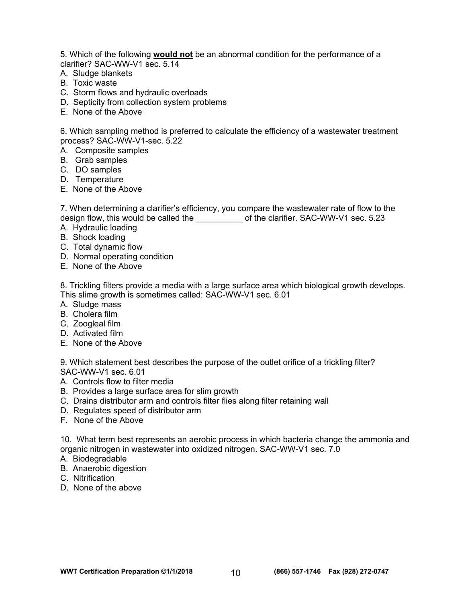5. Which of the following **would not** be an abnormal condition for the performance of a clarifier? SAC-WW-V1 sec. 5.14

- A. Sludge blankets
- B. Toxic waste
- C. Storm flows and hydraulic overloads
- D. Septicity from collection system problems
- E. None of the Above

6. Which sampling method is preferred to calculate the efficiency of a wastewater treatment process? SAC-WW-V1-sec. 5.22

- A. Composite samples
- B. Grab samples
- C. DO samples
- D. Temperature
- E. None of the Above

7. When determining a clarifier's efficiency, you compare the wastewater rate of flow to the design flow, this would be called the \_\_\_\_\_\_\_\_\_\_\_\_ of the clarifier. SAC-WW-V1 sec. 5.23

- A. Hydraulic loading
- B. Shock loading
- C. Total dynamic flow
- D. Normal operating condition
- E. None of the Above

8. Trickling filters provide a media with a large surface area which biological growth develops. This slime growth is sometimes called: SAC-WW-V1 sec. 6.01

- A. Sludge mass
- B. Cholera film
- C. Zoogleal film
- D. Activated film
- E. None of the Above

9. Which statement best describes the purpose of the outlet orifice of a trickling filter? SAC-WW-V1 sec. 6.01

- A. Controls flow to filter media
- B. Provides a large surface area for slim growth
- C. Drains distributor arm and controls filter flies along filter retaining wall
- D. Regulates speed of distributor arm
- F. None of the Above

10. What term best represents an aerobic process in which bacteria change the ammonia and organic nitrogen in wastewater into oxidized nitrogen. SAC-WW-V1 sec. 7.0

- A. Biodegradable
- B. Anaerobic digestion
- C. Nitrification
- D. None of the above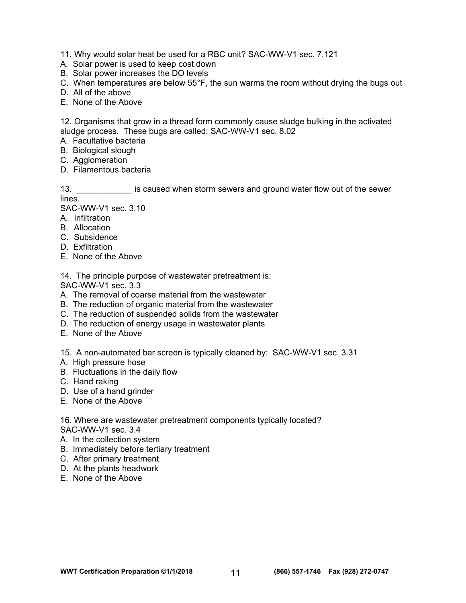11. Why would solar heat be used for a RBC unit? SAC-WW-V1 sec. 7.121

- A. Solar power is used to keep cost down
- B. Solar power increases the DO levels
- C. When temperatures are below 55°F, the sun warms the room without drying the bugs out
- D. All of the above
- E. None of the Above

12. Organisms that grow in a thread form commonly cause sludge bulking in the activated sludge process. These bugs are called: SAC-WW-V1 sec. 8.02

- A. Facultative bacteria
- B. Biological slough
- C. Agglomeration
- D. Filamentous bacteria

13. \_\_\_\_\_\_\_\_\_\_\_\_ is caused when storm sewers and ground water flow out of the sewer lines.

SAC-WW-V1 sec. 3.10

- A. Infiltration
- B. Allocation
- C. Subsidence
- D. Exfiltration
- E. None of the Above

14. The principle purpose of wastewater pretreatment is:

SAC-WW-V1 sec. 3.3

- A. The removal of coarse material from the wastewater
- B. The reduction of organic material from the wastewater
- C. The reduction of suspended solids from the wastewater
- D. The reduction of energy usage in wastewater plants
- E. None of the Above

15. A non-automated bar screen is typically cleaned by: SAC-WW-V1 sec. 3.31

- A. High pressure hose
- B. Fluctuations in the daily flow
- C. Hand raking
- D. Use of a hand grinder
- E. None of the Above

16. Where are wastewater pretreatment components typically located? SAC-WW-V1 sec. 3.4

- A. In the collection system
- B. Immediately before tertiary treatment
- C. After primary treatment
- D. At the plants headwork
- E. None of the Above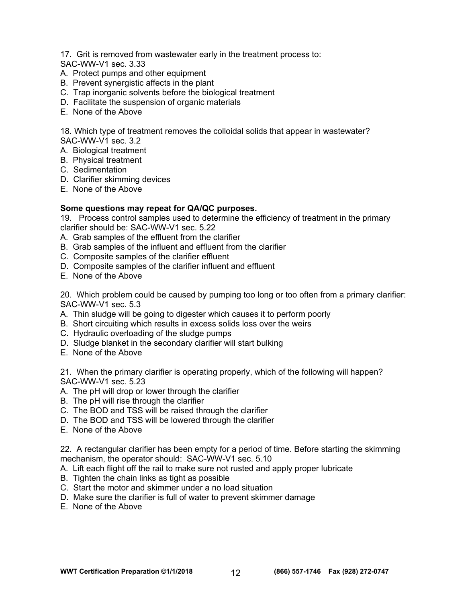17. Grit is removed from wastewater early in the treatment process to:

SAC-WW-V1 sec. 3.33

- A. Protect pumps and other equipment
- B. Prevent synergistic affects in the plant
- C. Trap inorganic solvents before the biological treatment
- D. Facilitate the suspension of organic materials
- E. None of the Above

18. Which type of treatment removes the colloidal solids that appear in wastewater? SAC-WW-V1 sec. 3.2

- A. Biological treatment
- B. Physical treatment
- C. Sedimentation
- D. Clarifier skimming devices
- E. None of the Above

#### **Some questions may repeat for QA/QC purposes.**

19. Process control samples used to determine the efficiency of treatment in the primary clarifier should be: SAC-WW-V1 sec. 5.22

- A. Grab samples of the effluent from the clarifier
- B. Grab samples of the influent and effluent from the clarifier
- C. Composite samples of the clarifier effluent
- D. Composite samples of the clarifier influent and effluent
- E. None of the Above

20. Which problem could be caused by pumping too long or too often from a primary clarifier: SAC-WW-V1 sec. 5.3

- A. Thin sludge will be going to digester which causes it to perform poorly
- B. Short circuiting which results in excess solids loss over the weirs
- C. Hydraulic overloading of the sludge pumps
- D. Sludge blanket in the secondary clarifier will start bulking
- E. None of the Above

21. When the primary clarifier is operating properly, which of the following will happen? SAC-WW-V1 sec. 5.23

- A. The pH will drop or lower through the clarifier
- B. The pH will rise through the clarifier
- C. The BOD and TSS will be raised through the clarifier
- D. The BOD and TSS will be lowered through the clarifier
- E. None of the Above

22. A rectangular clarifier has been empty for a period of time. Before starting the skimming mechanism, the operator should: SAC-WW-V1 sec. 5.10

- A. Lift each flight off the rail to make sure not rusted and apply proper lubricate
- B. Tighten the chain links as tight as possible
- C. Start the motor and skimmer under a no load situation
- D. Make sure the clarifier is full of water to prevent skimmer damage
- E. None of the Above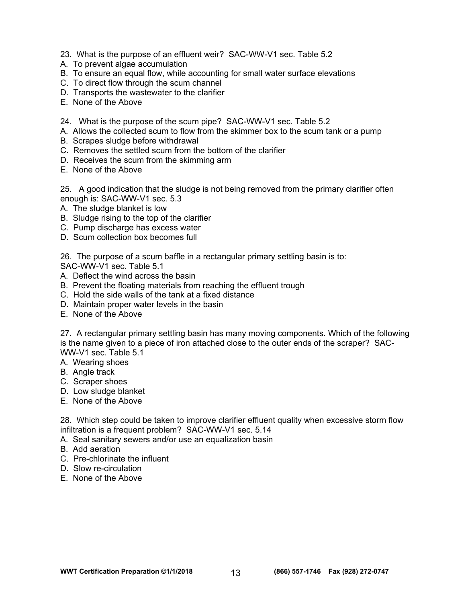- 23. What is the purpose of an effluent weir? SAC-WW-V1 sec. Table 5.2
- A. To prevent algae accumulation
- B. To ensure an equal flow, while accounting for small water surface elevations
- C. To direct flow through the scum channel
- D. Transports the wastewater to the clarifier
- E. None of the Above
- 24. What is the purpose of the scum pipe? SAC-WW-V1 sec. Table 5.2
- A. Allows the collected scum to flow from the skimmer box to the scum tank or a pump
- B. Scrapes sludge before withdrawal
- C. Removes the settled scum from the bottom of the clarifier
- D. Receives the scum from the skimming arm
- E. None of the Above

25. A good indication that the sludge is not being removed from the primary clarifier often enough is: SAC-WW-V1 sec. 5.3

- A. The sludge blanket is low
- B. Sludge rising to the top of the clarifier
- C. Pump discharge has excess water
- D. Scum collection box becomes full

26. The purpose of a scum baffle in a rectangular primary settling basin is to:

SAC-WW-V1 sec. Table 5.1

- A. Deflect the wind across the basin
- B. Prevent the floating materials from reaching the effluent trough
- C. Hold the side walls of the tank at a fixed distance
- D. Maintain proper water levels in the basin
- E. None of the Above

27. A rectangular primary settling basin has many moving components. Which of the following is the name given to a piece of iron attached close to the outer ends of the scraper? SAC-WW-V1 sec. Table 5.1

A. Wearing shoes

- B. Angle track
- C. Scraper shoes
- D. Low sludge blanket
- E. None of the Above

28. Which step could be taken to improve clarifier effluent quality when excessive storm flow infiltration is a frequent problem? SAC-WW-V1 sec. 5.14

- A. Seal sanitary sewers and/or use an equalization basin
- B. Add aeration
- C. Pre-chlorinate the influent
- D. Slow re-circulation
- E. None of the Above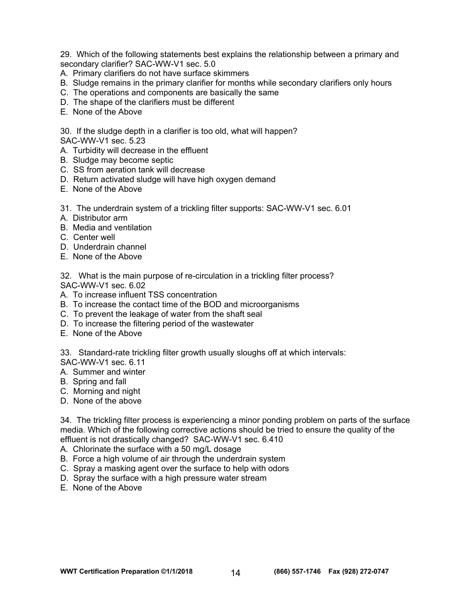29. Which of the following statements best explains the relationship between a primary and secondary clarifier? SAC-WW-V1 sec. 5.0

- A. Primary clarifiers do not have surface skimmers
- B. Sludge remains in the primary clarifier for months while secondary clarifiers only hours
- C. The operations and components are basically the same
- D. The shape of the clarifiers must be different
- E. None of the Above

30. If the sludge depth in a clarifier is too old, what will happen?

SAC-WW-V1 sec. 5.23

- A. Turbidity will decrease in the effluent
- B. Sludge may become septic
- C. SS from aeration tank will decrease
- D. Return activated sludge will have high oxygen demand
- E. None of the Above
- 31. The underdrain system of a trickling filter supports: SAC-WW-V1 sec. 6.01
- A. Distributor arm
- B. Media and ventilation
- C. Center well
- D. Underdrain channel
- E. None of the Above

32. What is the main purpose of re-circulation in a trickling filter process? SAC-WW-V1 sec. 6.02

- A. To increase influent TSS concentration
- B. To increase the contact time of the BOD and microorganisms
- C. To prevent the leakage of water from the shaft seal
- D. To increase the filtering period of the wastewater
- E. None of the Above

33. Standard-rate trickling filter growth usually sloughs off at which intervals:

- SAC-WW-V1 sec. 6.11
- A. Summer and winter
- B. Spring and fall
- C. Morning and night
- D. None of the above

34. The trickling filter process is experiencing a minor ponding problem on parts of the surface media. Which of the following corrective actions should be tried to ensure the quality of the effluent is not drastically changed? SAC-WW-V1 sec. 6.410

A. Chlorinate the surface with a 50 mg/L dosage

- B. Force a high volume of air through the underdrain system
- C. Spray a masking agent over the surface to help with odors
- D. Spray the surface with a high pressure water stream
- E. None of the Above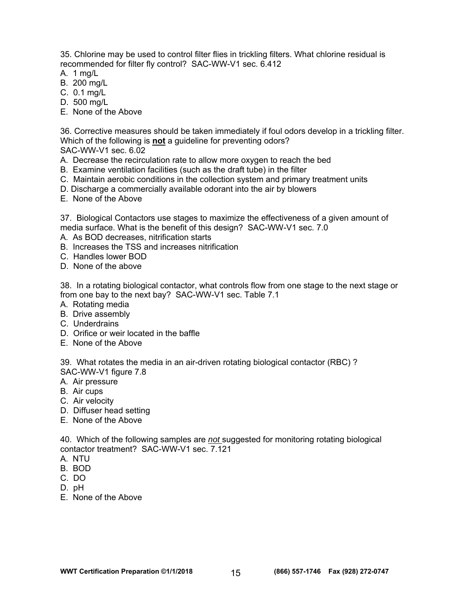35. Chlorine may be used to control filter flies in trickling filters. What chlorine residual is recommended for filter fly control? SAC-WW-V1 sec. 6.412

- A. 1 mg/L
- B. 200 mg/L
- C. 0.1 mg/L
- D. 500 mg/L
- E. None of the Above

36. Corrective measures should be taken immediately if foul odors develop in a trickling filter. Which of the following is **not** a guideline for preventing odors?

SAC-WW-V1 sec. 6.02

- A. Decrease the recirculation rate to allow more oxygen to reach the bed
- B. Examine ventilation facilities (such as the draft tube) in the filter
- C. Maintain aerobic conditions in the collection system and primary treatment units
- D. Discharge a commercially available odorant into the air by blowers
- E. None of the Above

37. Biological Contactors use stages to maximize the effectiveness of a given amount of media surface. What is the benefit of this design? SAC-WW-V1 sec. 7.0

- A. As BOD decreases, nitrification starts
- B. Increases the TSS and increases nitrification
- C. Handles lower BOD
- D. None of the above

38. In a rotating biological contactor, what controls flow from one stage to the next stage or from one bay to the next bay? SAC-WW-V1 sec. Table 7.1

- A. Rotating media
- B. Drive assembly
- C. Underdrains
- D. Orifice or weir located in the baffle
- E. None of the Above

39. What rotates the media in an air-driven rotating biological contactor (RBC) ? SAC-WW-V1 figure 7.8

- A. Air pressure
- B. Air cups
- C. Air velocity
- D. Diffuser head setting
- E. None of the Above

40. Which of the following samples are *not* suggested for monitoring rotating biological contactor treatment? SAC-WW-V1 sec. 7.121

- A. NTU
- B. BOD
- C. DO
- D. pH
- E. None of the Above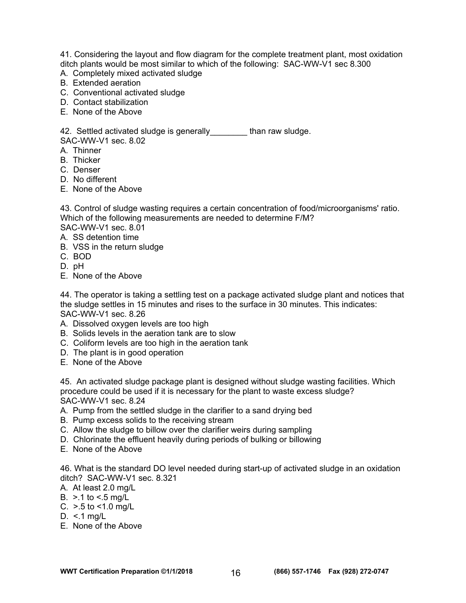41. Considering the layout and flow diagram for the complete treatment plant, most oxidation ditch plants would be most similar to which of the following: SAC-WW-V1 sec 8.300

- A. Completely mixed activated sludge
- B. Extended aeration
- C. Conventional activated sludge
- D. Contact stabilization
- E. None of the Above

42. Settled activated sludge is generally Than raw sludge. SAC-WW-V1 sec. 8.02

- A. Thinner
- B. Thicker
- C. Denser
- D. No different
- E. None of the Above

43. Control of sludge wasting requires a certain concentration of food/microorganisms' ratio. Which of the following measurements are needed to determine F/M? SAC-WW-V1 sec. 8.01

- A. SS detention time
- B. VSS in the return sludge
- C. BOD
- D. pH
- E. None of the Above

44. The operator is taking a settling test on a package activated sludge plant and notices that the sludge settles in 15 minutes and rises to the surface in 30 minutes. This indicates: SAC-WW-V1 sec. 8.26

- A. Dissolved oxygen levels are too high
- B. Solids levels in the aeration tank are to slow
- C. Coliform levels are too high in the aeration tank
- D. The plant is in good operation
- E. None of the Above

45. An activated sludge package plant is designed without sludge wasting facilities. Which procedure could be used if it is necessary for the plant to waste excess sludge? SAC-WW-V1 sec. 8.24

- A. Pump from the settled sludge in the clarifier to a sand drying bed
- B. Pump excess solids to the receiving stream
- C. Allow the sludge to billow over the clarifier weirs during sampling
- D. Chlorinate the effluent heavily during periods of bulking or billowing
- E. None of the Above

46. What is the standard DO level needed during start-up of activated sludge in an oxidation ditch? SAC-WW-V1 sec. 8.321

- A. At least 2.0 mg/L
- B.  $> 1$  to  $< 5$  mg/L
- C. >.5 to <1.0 mg/L
- D.  $\leq$  1 mg/L
- E. None of the Above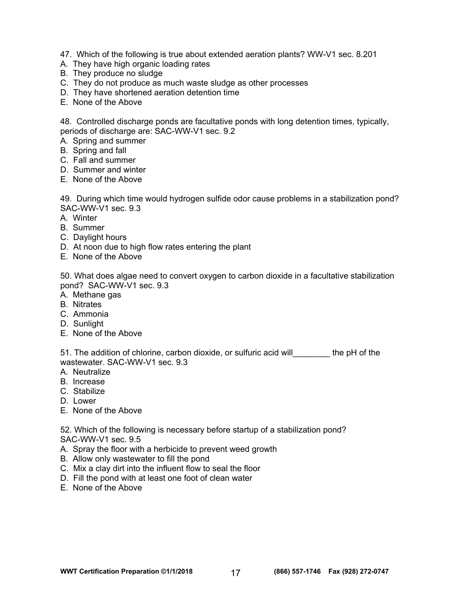- 47. Which of the following is true about extended aeration plants? WW-V1 sec. 8.201
- A. They have high organic loading rates
- B. They produce no sludge
- C. They do not produce as much waste sludge as other processes
- D. They have shortened aeration detention time
- E. None of the Above

48. Controlled discharge ponds are facultative ponds with long detention times, typically, periods of discharge are: SAC-WW-V1 sec. 9.2

- A. Spring and summer
- B. Spring and fall
- C. Fall and summer
- D. Summer and winter
- E. None of the Above

49. During which time would hydrogen sulfide odor cause problems in a stabilization pond? SAC-WW-V1 sec. 9.3

- A. Winter
- B. Summer
- C. Daylight hours
- D. At noon due to high flow rates entering the plant
- E. None of the Above

50. What does algae need to convert oxygen to carbon dioxide in a facultative stabilization pond? SAC-WW-V1 sec. 9.3

- A. Methane gas
- B. Nitrates
- C. Ammonia
- D. Sunlight
- E. None of the Above

51. The addition of chlorine, carbon dioxide, or sulfuric acid will the pH of the wastewater. SAC-WW-V1 sec. 9.3

- A. Neutralize
- B. Increase
- C. Stabilize
- D. Lower
- E. None of the Above

52. Which of the following is necessary before startup of a stabilization pond? SAC-WW-V1 sec. 9.5

- A. Spray the floor with a herbicide to prevent weed growth
- B. Allow only wastewater to fill the pond
- C. Mix a clay dirt into the influent flow to seal the floor
- D. Fill the pond with at least one foot of clean water
- E. None of the Above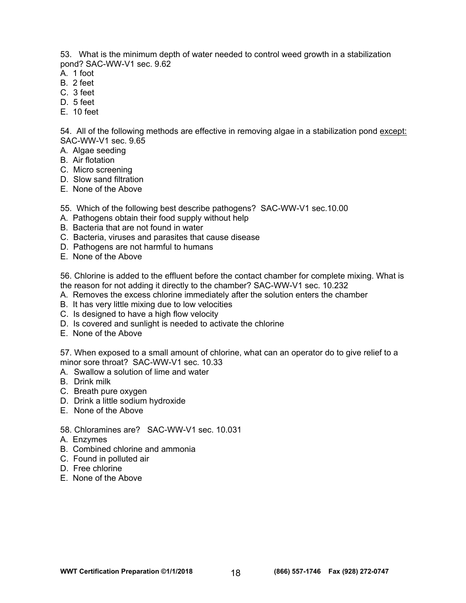53. What is the minimum depth of water needed to control weed growth in a stabilization pond? SAC-WW-V1 sec. 9.62

- A. 1 foot
- B. 2 feet
- C. 3 feet
- D. 5 feet
- E. 10 feet

54. All of the following methods are effective in removing algae in a stabilization pond except: SAC-WW-V1 sec. 9.65

- A. Algae seeding
- B. Air flotation
- C. Micro screening
- D. Slow sand filtration
- E. None of the Above

55. Which of the following best describe pathogens? SAC-WW-V1 sec.10.00

- A. Pathogens obtain their food supply without help
- B. Bacteria that are not found in water
- C. Bacteria, viruses and parasites that cause disease
- D. Pathogens are not harmful to humans
- E. None of the Above

56. Chlorine is added to the effluent before the contact chamber for complete mixing. What is the reason for not adding it directly to the chamber? SAC-WW-V1 sec. 10.232

- A. Removes the excess chlorine immediately after the solution enters the chamber
- B. It has very little mixing due to low velocities
- C. Is designed to have a high flow velocity
- D. Is covered and sunlight is needed to activate the chlorine
- E. None of the Above

57. When exposed to a small amount of chlorine, what can an operator do to give relief to a minor sore throat? SAC-WW-V1 sec. 10.33

A. Swallow a solution of lime and water

- B. Drink milk
- C. Breath pure oxygen
- D. Drink a little sodium hydroxide
- E. None of the Above
- 58. Chloramines are? SAC-WW-V1 sec. 10.031
- A. Enzymes
- B. Combined chlorine and ammonia
- C. Found in polluted air
- D. Free chlorine
- E. None of the Above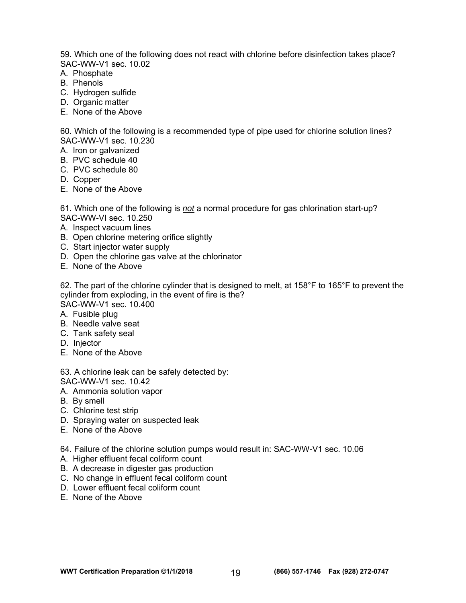59. Which one of the following does not react with chlorine before disinfection takes place? SAC-WW-V1 sec. 10.02

- A. Phosphate
- B. Phenols
- C. Hydrogen sulfide
- D. Organic matter
- E. None of the Above

60. Which of the following is a recommended type of pipe used for chlorine solution lines? SAC-WW-V1 sec. 10.230

- A. Iron or galvanized
- B. PVC schedule 40
- C. PVC schedule 80
- D. Copper
- E. None of the Above

61. Which one of the following is *not* a normal procedure for gas chlorination start-up? SAC-WW-VI sec. 10.250

- A. Inspect vacuum lines
- B. Open chlorine metering orifice slightly
- C. Start injector water supply
- D. Open the chlorine gas valve at the chlorinator
- E. None of the Above

62. The part of the chlorine cylinder that is designed to melt, at 158°F to 165°F to prevent the cylinder from exploding, in the event of fire is the? SAC-WW-V1 sec. 10.400

- A. Fusible plug
- B. Needle valve seat
- C. Tank safety seal
- D. Injector
- E. None of the Above

63. A chlorine leak can be safely detected by: SAC-WW-V1 sec. 10.42

- A. Ammonia solution vapor
- B. By smell
- C. Chlorine test strip
- D. Spraying water on suspected leak
- E. None of the Above

64. Failure of the chlorine solution pumps would result in: SAC-WW-V1 sec. 10.06

- A. Higher effluent fecal coliform count
- B. A decrease in digester gas production
- C. No change in effluent fecal coliform count
- D. Lower effluent fecal coliform count
- E. None of the Above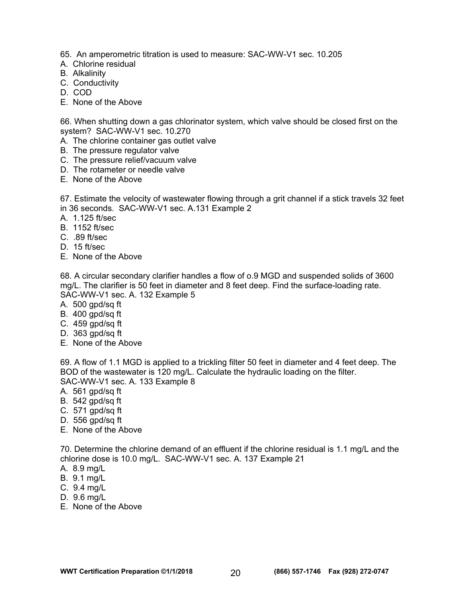65. An amperometric titration is used to measure: SAC-WW-V1 sec. 10.205

- A. Chlorine residual
- B. Alkalinity
- C. Conductivity
- D. COD
- E. None of the Above

66. When shutting down a gas chlorinator system, which valve should be closed first on the system? SAC-WW-V1 sec. 10.270

- A. The chlorine container gas outlet valve
- B. The pressure regulator valve
- C. The pressure relief/vacuum valve
- D. The rotameter or needle valve
- E. None of the Above

67. Estimate the velocity of wastewater flowing through a grit channel if a stick travels 32 feet in 36 seconds. SAC-WW-V1 sec. A.131 Example 2

- A. 1.125 ft/sec
- B. 1152 ft/sec
- C. .89 ft/sec
- D. 15 ft/sec
- E. None of the Above

68. A circular secondary clarifier handles a flow of o.9 MGD and suspended solids of 3600 mg/L. The clarifier is 50 feet in diameter and 8 feet deep. Find the surface-loading rate. SAC-WW-V1 sec. A. 132 Example 5

- A. 500 gpd/sq ft
- B. 400 gpd/sq ft
- C. 459 gpd/sq ft
- D. 363 gpd/sq ft
- E. None of the Above

69. A flow of 1.1 MGD is applied to a trickling filter 50 feet in diameter and 4 feet deep. The BOD of the wastewater is 120 mg/L. Calculate the hydraulic loading on the filter. SAC-WW-V1 sec. A. 133 Example 8

- A. 561 gpd/sq ft
- B. 542 gpd/sq ft
- C. 571 gpd/sq ft
- D. 556 gpd/sq ft
- E. None of the Above

70. Determine the chlorine demand of an effluent if the chlorine residual is 1.1 mg/L and the chlorine dose is 10.0 mg/L. SAC-WW-V1 sec. A. 137 Example 21

- A. 8.9 mg/L
- B. 9.1 mg/L
- C. 9.4 mg/L
- D. 9.6 mg/L
- E. None of the Above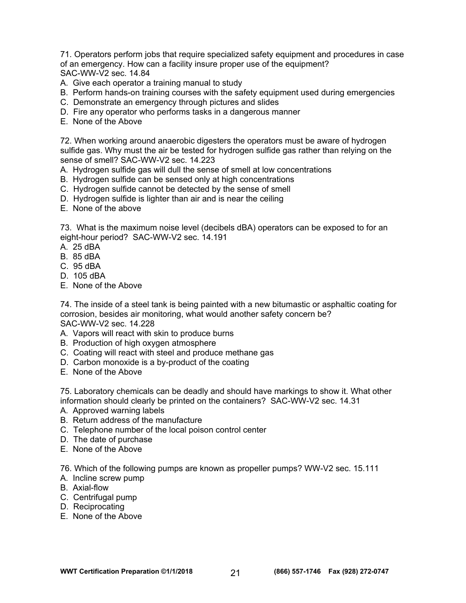71. Operators perform jobs that require specialized safety equipment and procedures in case of an emergency. How can a facility insure proper use of the equipment? SAC-WW-V2 sec. 14.84

- A. Give each operator a training manual to study
- B. Perform hands-on training courses with the safety equipment used during emergencies
- C. Demonstrate an emergency through pictures and slides
- D. Fire any operator who performs tasks in a dangerous manner
- E. None of the Above

72. When working around anaerobic digesters the operators must be aware of hydrogen sulfide gas. Why must the air be tested for hydrogen sulfide gas rather than relying on the sense of smell? SAC-WW-V2 sec. 14.223

- A. Hydrogen sulfide gas will dull the sense of smell at low concentrations
- B. Hydrogen sulfide can be sensed only at high concentrations
- C. Hydrogen sulfide cannot be detected by the sense of smell
- D. Hydrogen sulfide is lighter than air and is near the ceiling
- E. None of the above

73. What is the maximum noise level (decibels dBA) operators can be exposed to for an eight-hour period? SAC-WW-V2 sec. 14.191

- A. 25 dBA
- B. 85 dBA
- C. 95 dBA
- D. 105 dBA
- E. None of the Above

74. The inside of a steel tank is being painted with a new bitumastic or asphaltic coating for corrosion, besides air monitoring, what would another safety concern be? SAC-WW-V2 sec. 14.228

- A. Vapors will react with skin to produce burns
- B. Production of high oxygen atmosphere
- C. Coating will react with steel and produce methane gas
- D. Carbon monoxide is a by-product of the coating
- E. None of the Above

75. Laboratory chemicals can be deadly and should have markings to show it. What other information should clearly be printed on the containers? SAC-WW-V2 sec. 14.31

- A. Approved warning labels
- B. Return address of the manufacture
- C. Telephone number of the local poison control center
- D. The date of purchase
- E. None of the Above

76. Which of the following pumps are known as propeller pumps? WW-V2 sec. 15.111

- A. Incline screw pump
- B. Axial-flow
- C. Centrifugal pump
- D. Reciprocating
- E. None of the Above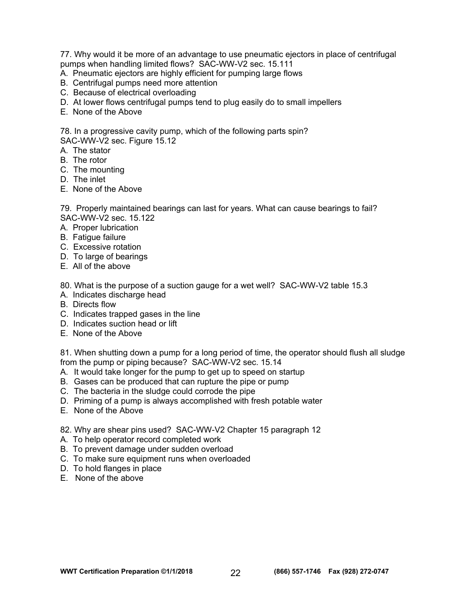77. Why would it be more of an advantage to use pneumatic ejectors in place of centrifugal pumps when handling limited flows? SAC-WW-V2 sec. 15.111

- A. Pneumatic ejectors are highly efficient for pumping large flows
- B. Centrifugal pumps need more attention
- C. Because of electrical overloading
- D. At lower flows centrifugal pumps tend to plug easily do to small impellers
- E. None of the Above

78. In a progressive cavity pump, which of the following parts spin? SAC-WW-V2 sec. Figure 15.12

- A. The stator
- B. The rotor
- C. The mounting
- D. The inlet
- E. None of the Above

79. Properly maintained bearings can last for years. What can cause bearings to fail? SAC-WW-V2 sec. 15.122

- A. Proper lubrication
- B. Fatigue failure
- C. Excessive rotation
- D. To large of bearings
- E. All of the above

80. What is the purpose of a suction gauge for a wet well? SAC-WW-V2 table 15.3

- A. Indicates discharge head
- B. Directs flow
- C. Indicates trapped gases in the line
- D. Indicates suction head or lift
- E. None of the Above

81. When shutting down a pump for a long period of time, the operator should flush all sludge from the pump or piping because? SAC-WW-V2 sec. 15.14

- A. It would take longer for the pump to get up to speed on startup
- B. Gases can be produced that can rupture the pipe or pump
- C. The bacteria in the sludge could corrode the pipe
- D. Priming of a pump is always accomplished with fresh potable water
- E. None of the Above

82. Why are shear pins used? SAC-WW-V2 Chapter 15 paragraph 12

- A. To help operator record completed work
- B. To prevent damage under sudden overload
- C. To make sure equipment runs when overloaded
- D. To hold flanges in place
- E. None of the above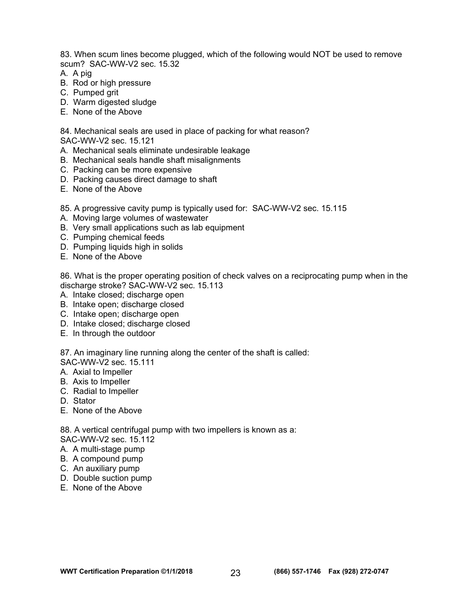83. When scum lines become plugged, which of the following would NOT be used to remove scum? SAC-WW-V2 sec. 15.32

- A. A pig
- B. Rod or high pressure
- C. Pumped grit
- D. Warm digested sludge
- E. None of the Above

84. Mechanical seals are used in place of packing for what reason?

SAC-WW-V2 sec. 15.121

- A. Mechanical seals eliminate undesirable leakage
- B. Mechanical seals handle shaft misalignments
- C. Packing can be more expensive
- D. Packing causes direct damage to shaft
- E. None of the Above

85. A progressive cavity pump is typically used for: SAC-WW-V2 sec. 15.115

- A. Moving large volumes of wastewater
- B. Very small applications such as lab equipment
- C. Pumping chemical feeds
- D. Pumping liquids high in solids
- E. None of the Above

86. What is the proper operating position of check valves on a reciprocating pump when in the discharge stroke? SAC-WW-V2 sec. 15.113

- A. Intake closed; discharge open
- B. Intake open; discharge closed
- C. Intake open; discharge open
- D. Intake closed; discharge closed
- E. In through the outdoor

87. An imaginary line running along the center of the shaft is called:

SAC-WW-V2 sec. 15.111

- A. Axial to Impeller
- B. Axis to Impeller
- C. Radial to Impeller
- D. Stator
- E. None of the Above

88. A vertical centrifugal pump with two impellers is known as a:

SAC-WW-V2 sec. 15.112

- A. A multi-stage pump
- B. A compound pump
- C. An auxiliary pump
- D. Double suction pump
- E. None of the Above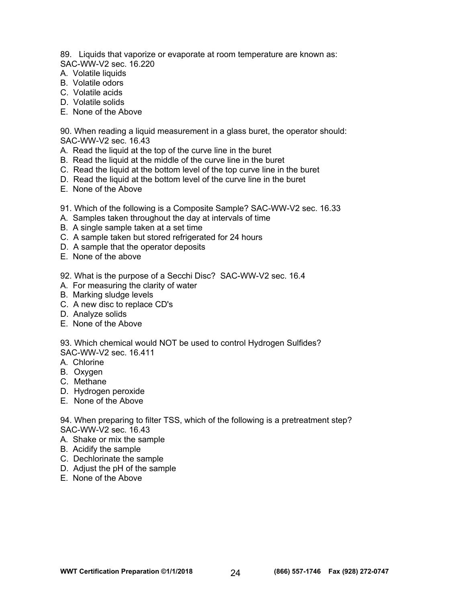89. Liquids that vaporize or evaporate at room temperature are known as: SAC-WW-V2 sec. 16.220

- A. Volatile liquids
- B. Volatile odors
- C. Volatile acids
- D. Volatile solids
- E. None of the Above

90. When reading a liquid measurement in a glass buret, the operator should: SAC-WW-V2 sec. 16.43

- A. Read the liquid at the top of the curve line in the buret
- B. Read the liquid at the middle of the curve line in the buret
- C. Read the liquid at the bottom level of the top curve line in the buret
- D. Read the liquid at the bottom level of the curve line in the buret
- E. None of the Above
- 91. Which of the following is a Composite Sample? SAC-WW-V2 sec. 16.33
- A. Samples taken throughout the day at intervals of time
- B. A single sample taken at a set time
- C. A sample taken but stored refrigerated for 24 hours
- D. A sample that the operator deposits
- E. None of the above

92. What is the purpose of a Secchi Disc? SAC-WW-V2 sec. 16.4

- A. For measuring the clarity of water
- B. Marking sludge levels
- C. A new disc to replace CD's
- D. Analyze solids
- E. None of the Above

93. Which chemical would NOT be used to control Hydrogen Sulfides? SAC-WW-V2 sec. 16.411

- A. Chlorine
- B. Oxygen
- C. Methane
- D. Hydrogen peroxide
- E. None of the Above

94. When preparing to filter TSS, which of the following is a pretreatment step? SAC-WW-V2 sec. 16.43

- A. Shake or mix the sample
- B. Acidify the sample
- C. Dechlorinate the sample
- D. Adjust the pH of the sample
- E. None of the Above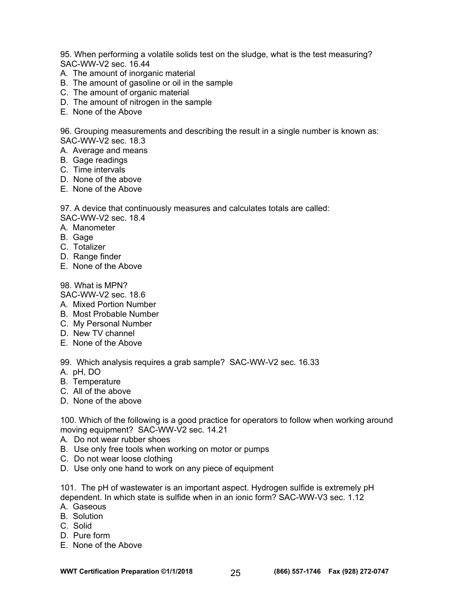95. When performing a volatile solids test on the sludge, what is the test measuring? SAC-WW-V2 sec. 16.44

- A. The amount of inorganic material
- B. The amount of gasoline or oil in the sample
- C. The amount of organic material
- D. The amount of nitrogen in the sample
- E. None of the Above

96. Grouping measurements and describing the result in a single number is known as: SAC-WW-V2 sec. 18.3

- A. Average and means
- B. Gage readings
- C. Time intervals
- D. None of the above
- E. None of the Above

97. A device that continuously measures and calculates totals are called:

SAC-WW-V2 sec. 18.4

- A. Manometer
- B. Gage
- C. Totalizer
- D. Range finder
- E. None of the Above

#### 98. What is MPN?

SAC-WW-V2 sec. 18.6

- A. Mixed Portion Number
- B. Most Probable Number
- C. My Personal Number
- D. New TV channel
- E. None of the Above

99. Which analysis requires a grab sample? SAC-WW-V2 sec. 16.33

- A. pH, DO
- B. Temperature
- C. All of the above
- D. None of the above

100. Which of the following is a good practice for operators to follow when working around moving equipment? SAC-WW-V2 sec. 14.21

- A. Do not wear rubber shoes
- B. Use only free tools when working on motor or pumps
- C. Do not wear loose clothing
- D. Use only one hand to work on any piece of equipment

101. The pH of wastewater is an important aspect. Hydrogen sulfide is extremely pH dependent. In which state is sulfide when in an ionic form? SAC-WW-V3 sec. 1.12

- A. Gaseous
- B. Solution
- C. Solid
- D. Pure form
- E. None of the Above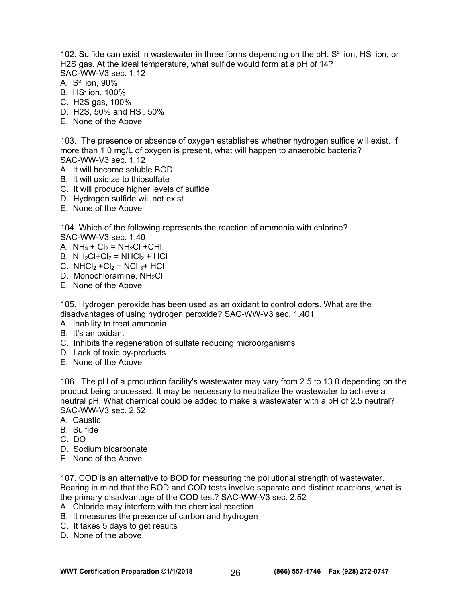102. Sulfide can exist in wastewater in three forms depending on the pH: S<sup>2-</sup> ion, HS<sup>-</sup> ion, or H2S gas. At the ideal temperature, what sulfide would form at a pH of 14? SAC-WW-V3 sec. 1.12

- A. S<sup>2-</sup> ion, 90%
- B. HS- ion, 100%
- C. H2S gas, 100%
- D. H2S, 50% and HS- , 50%
- E. None of the Above

103. The presence or absence of oxygen establishes whether hydrogen sulfide will exist. If more than 1.0 mg/L of oxygen is present, what will happen to anaerobic bacteria? SAC-WW-V3 sec. 1.12

- A. It will become soluble BOD
- B. It will oxidize to thiosulfate
- C. It will produce higher levels of sulfide
- D. Hydrogen sulfide will not exist
- E. None of the Above

104. Which of the following represents the reaction of ammonia with chlorine? SAC-WW-V3 sec. 1.40

A.  $NH_3 + Cl_2 = NH_2Cl + CHI$ 

- B.  $NH<sub>2</sub>Cl+Cl<sub>2</sub> = NHCl<sub>2</sub> + HCl$
- C. NHCl<sub>2</sub> + Cl<sub>2</sub> = NCl<sub>3</sub> + HCl
- D. Monochloramine, NH<sub>2</sub>Cl
- E. None of the Above

105. Hydrogen peroxide has been used as an oxidant to control odors. What are the disadvantages of using hydrogen peroxide? SAC-WW-V3 sec. 1.401

- A. Inability to treat ammonia
- B. It's an oxidant
- C. Inhibits the regeneration of sulfate reducing microorganisms
- D. Lack of toxic by-products
- E. None of the Above

106. The pH of a production facility's wastewater may vary from 2.5 to 13.0 depending on the product being processed. It may be necessary to neutralize the wastewater to achieve a neutral pH. What chemical could be added to make a wastewater with a pH of 2.5 neutral? SAC-WW-V3 sec. 2.52

- A. Caustic
- B. Sulfide
- C. DO
- D. Sodium bicarbonate
- E. None of the Above

107. COD is an alternative to BOD for measuring the pollutional strength of wastewater. Bearing in mind that the BOD and COD tests involve separate and distinct reactions, what is the primary disadvantage of the COD test? SAC-WW-V3 sec. 2.52

- A. Chloride may interfere with the chemical reaction
- B. It measures the presence of carbon and hydrogen
- C. It takes 5 days to get results
- D. None of the above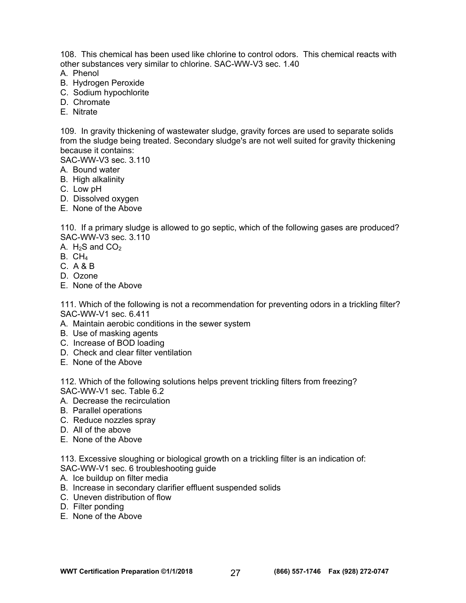108. This chemical has been used like chlorine to control odors. This chemical reacts with other substances very similar to chlorine. SAC-WW-V3 sec. 1.40

- A. Phenol
- B. Hydrogen Peroxide
- C. Sodium hypochlorite
- D. Chromate
- E. Nitrate

109. In gravity thickening of wastewater sludge, gravity forces are used to separate solids from the sludge being treated. Secondary sludge's are not well suited for gravity thickening because it contains:

SAC-WW-V3 sec. 3.110

- A. Bound water
- B. High alkalinity
- C. Low pH
- D. Dissolved oxygen
- E. None of the Above

110. If a primary sludge is allowed to go septic, which of the following gases are produced? SAC-WW-V3 sec. 3.110

- A.  $H_2S$  and  $CO_2$
- $B. CH<sub>4</sub>$
- C. A & B
- D. Ozone
- E. None of the Above

111. Which of the following is not a recommendation for preventing odors in a trickling filter? SAC-WW-V1 sec. 6.411

- A. Maintain aerobic conditions in the sewer system
- B. Use of masking agents
- C. Increase of BOD loading
- D. Check and clear filter ventilation
- E. None of the Above

112. Which of the following solutions helps prevent trickling filters from freezing? SAC-WW-V1 sec. Table 6.2

- A. Decrease the recirculation
- B. Parallel operations
- C. Reduce nozzles spray
- D. All of the above
- E. None of the Above

113. Excessive sloughing or biological growth on a trickling filter is an indication of: SAC-WW-V1 sec. 6 troubleshooting guide

- A. Ice buildup on filter media
- B. Increase in secondary clarifier effluent suspended solids
- C. Uneven distribution of flow
- D. Filter ponding
- E. None of the Above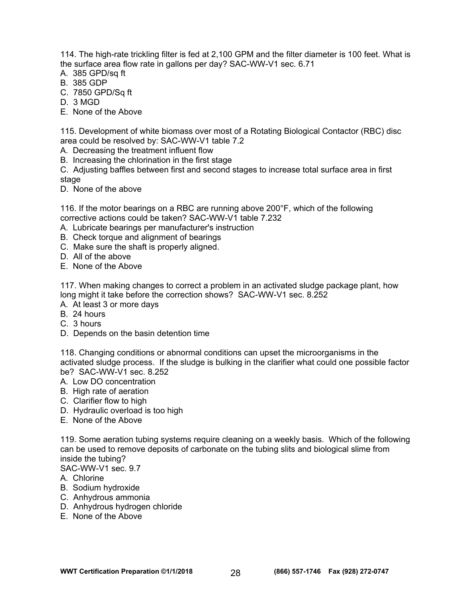114. The high-rate trickling filter is fed at 2,100 GPM and the filter diameter is 100 feet. What is the surface area flow rate in gallons per day? SAC-WW-V1 sec. 6.71

- A. 385 GPD/sq ft
- B. 385 GDP
- C. 7850 GPD/Sq ft
- D. 3 MGD
- E. None of the Above

115. Development of white biomass over most of a Rotating Biological Contactor (RBC) disc area could be resolved by: SAC-WW-V1 table 7.2

- A. Decreasing the treatment influent flow
- B. Increasing the chlorination in the first stage

C. Adjusting baffles between first and second stages to increase total surface area in first stage

D. None of the above

116. If the motor bearings on a RBC are running above 200°F, which of the following corrective actions could be taken? SAC-WW-V1 table 7.232

- A. Lubricate bearings per manufacturer's instruction
- B. Check torque and alignment of bearings
- C. Make sure the shaft is properly aligned.
- D. All of the above
- E. None of the Above

117. When making changes to correct a problem in an activated sludge package plant, how long might it take before the correction shows? SAC-WW-V1 sec. 8.252

- A. At least 3 or more days
- B. 24 hours
- C. 3 hours
- D. Depends on the basin detention time

118. Changing conditions or abnormal conditions can upset the microorganisms in the activated sludge process. If the sludge is bulking in the clarifier what could one possible factor be? SAC-WW-V1 sec. 8.252

- A. Low DO concentration
- B. High rate of aeration
- C. Clarifier flow to high
- D. Hydraulic overload is too high
- E. None of the Above

119. Some aeration tubing systems require cleaning on a weekly basis. Which of the following can be used to remove deposits of carbonate on the tubing slits and biological slime from inside the tubing?

SAC-WW-V1 sec. 9.7

- A. Chlorine
- B. Sodium hydroxide
- C. Anhydrous ammonia
- D. Anhydrous hydrogen chloride
- E. None of the Above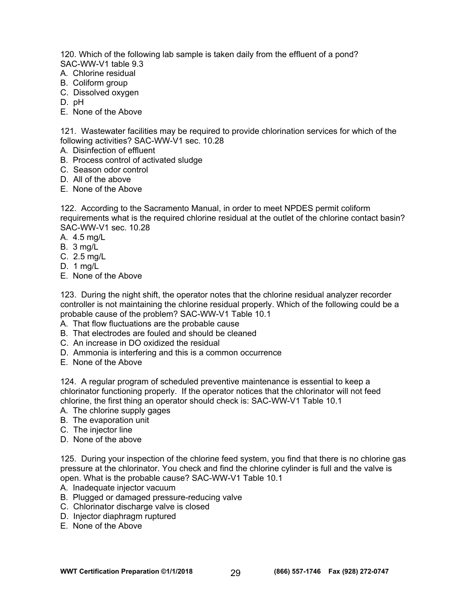120. Which of the following lab sample is taken daily from the effluent of a pond? SAC-WW-V1 table 9.3

- A. Chlorine residual
- B. Coliform group
- C. Dissolved oxygen
- D. pH
- E. None of the Above

121. Wastewater facilities may be required to provide chlorination services for which of the following activities? SAC-WW-V1 sec. 10.28

- A. Disinfection of effluent
- B. Process control of activated sludge
- C. Season odor control
- D. All of the above
- E. None of the Above

122. According to the Sacramento Manual, in order to meet NPDES permit coliform requirements what is the required chlorine residual at the outlet of the chlorine contact basin? SAC-WW-V1 sec. 10.28

- A. 4.5 mg/L
- B. 3 mg/L
- C. 2.5 mg/L
- D. 1 mg/L
- E. None of the Above

123. During the night shift, the operator notes that the chlorine residual analyzer recorder controller is not maintaining the chlorine residual properly. Which of the following could be a probable cause of the problem? SAC-WW-V1 Table 10.1

- A. That flow fluctuations are the probable cause
- B. That electrodes are fouled and should be cleaned
- C. An increase in DO oxidized the residual
- D. Ammonia is interfering and this is a common occurrence
- E. None of the Above

124. A regular program of scheduled preventive maintenance is essential to keep a chlorinator functioning properly. If the operator notices that the chlorinator will not feed chlorine, the first thing an operator should check is: SAC-WW-V1 Table 10.1

- A. The chlorine supply gages
- B. The evaporation unit
- C. The injector line
- D. None of the above

125. During your inspection of the chlorine feed system, you find that there is no chlorine gas pressure at the chlorinator. You check and find the chlorine cylinder is full and the valve is open. What is the probable cause? SAC-WW-V1 Table 10.1

- A. Inadequate injector vacuum
- B. Plugged or damaged pressure-reducing valve
- C. Chlorinator discharge valve is closed
- D. Injector diaphragm ruptured
- E. None of the Above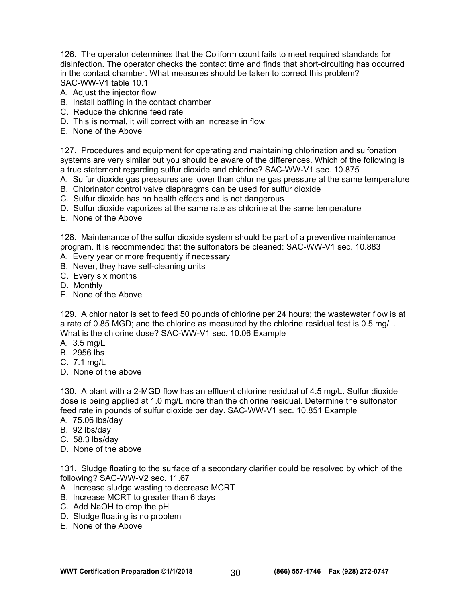126. The operator determines that the Coliform count fails to meet required standards for disinfection. The operator checks the contact time and finds that short-circuiting has occurred in the contact chamber. What measures should be taken to correct this problem? SAC-WW-V1 table 10.1

- A. Adjust the injector flow
- B. Install baffling in the contact chamber
- C. Reduce the chlorine feed rate
- D. This is normal, it will correct with an increase in flow
- E. None of the Above

127. Procedures and equipment for operating and maintaining chlorination and sulfonation systems are very similar but you should be aware of the differences. Which of the following is a true statement regarding sulfur dioxide and chlorine? SAC-WW-V1 sec. 10.875

- A. Sulfur dioxide gas pressures are lower than chlorine gas pressure at the same temperature
- B. Chlorinator control valve diaphragms can be used for sulfur dioxide
- C. Sulfur dioxide has no health effects and is not dangerous
- D. Sulfur dioxide vaporizes at the same rate as chlorine at the same temperature
- E. None of the Above

128. Maintenance of the sulfur dioxide system should be part of a preventive maintenance program. It is recommended that the sulfonators be cleaned: SAC-WW-V1 sec. 10.883

- A. Every year or more frequently if necessary
- B. Never, they have self-cleaning units
- C. Every six months
- D. Monthly
- E. None of the Above

129. A chlorinator is set to feed 50 pounds of chlorine per 24 hours; the wastewater flow is at a rate of 0.85 MGD; and the chlorine as measured by the chlorine residual test is 0.5 mg/L. What is the chlorine dose? SAC-WW-V1 sec. 10.06 Example

- A. 3.5 mg/L
- B. 2956 lbs
- C. 7.1 mg/L
- D. None of the above

130. A plant with a 2-MGD flow has an effluent chlorine residual of 4.5 mg/L. Sulfur dioxide dose is being applied at 1.0 mg/L more than the chlorine residual. Determine the sulfonator feed rate in pounds of sulfur dioxide per day. SAC-WW-V1 sec. 10.851 Example

- A. 75.06 lbs/day
- B. 92 lbs/day
- C. 58.3 lbs/day
- D. None of the above

131. Sludge floating to the surface of a secondary clarifier could be resolved by which of the following? SAC-WW-V2 sec. 11.67

- A. Increase sludge wasting to decrease MCRT
- B. Increase MCRT to greater than 6 days
- C. Add NaOH to drop the pH
- D. Sludge floating is no problem
- E. None of the Above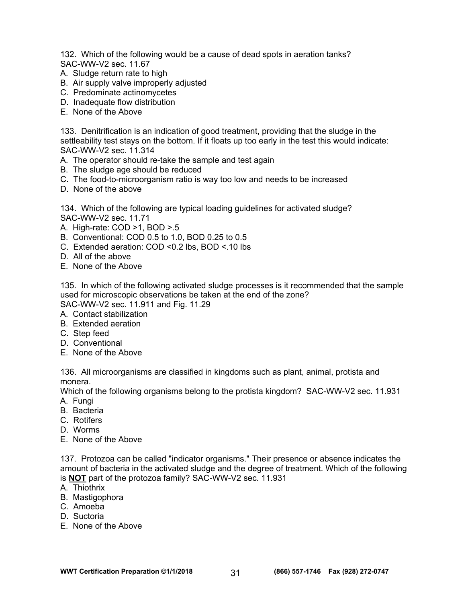132. Which of the following would be a cause of dead spots in aeration tanks? SAC-WW-V2 sec. 11.67

- A. Sludge return rate to high
- B. Air supply valve improperly adjusted
- C. Predominate actinomycetes
- D. Inadequate flow distribution
- E. None of the Above

133. Denitrification is an indication of good treatment, providing that the sludge in the settleability test stays on the bottom. If it floats up too early in the test this would indicate: SAC-WW-V2 sec. 11.314

- A. The operator should re-take the sample and test again
- B. The sludge age should be reduced
- C. The food-to-microorganism ratio is way too low and needs to be increased
- D. None of the above

134. Which of the following are typical loading guidelines for activated sludge? SAC-WW-V2 sec. 11.71

- A. High-rate: COD >1, BOD >.5
- B. Conventional: COD 0.5 to 1.0, BOD 0.25 to 0.5
- C. Extended aeration: COD <0.2 lbs, BOD <.10 lbs
- D. All of the above
- E. None of the Above

135. In which of the following activated sludge processes is it recommended that the sample used for microscopic observations be taken at the end of the zone? SAC-WW-V2 sec. 11.911 and Fig. 11.29

- A. Contact stabilization
- B. Extended aeration
- C. Step feed
- D. Conventional
- E. None of the Above

136. All microorganisms are classified in kingdoms such as plant, animal, protista and monera.

Which of the following organisms belong to the protista kingdom? SAC-WW-V2 sec. 11.931 A. Fungi

- B. Bacteria
- C. Rotifers
- D. Worms
- E. None of the Above

137. Protozoa can be called "indicator organisms." Their presence or absence indicates the amount of bacteria in the activated sludge and the degree of treatment. Which of the following is **NOT** part of the protozoa family? SAC-WW-V2 sec. 11.931

- A. Thiothrix
- B. Mastigophora
- C. Amoeba
- D. Suctoria
- E. None of the Above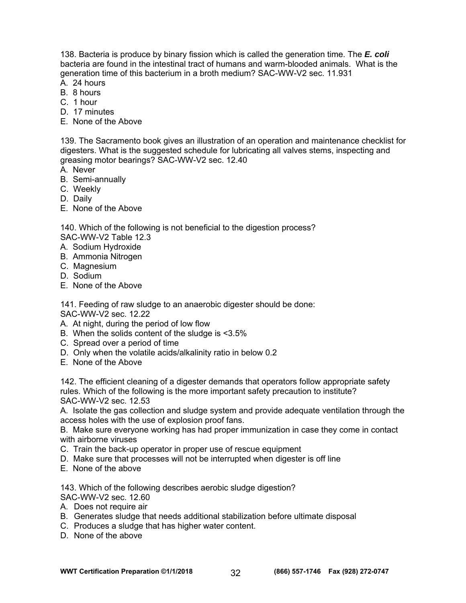138. Bacteria is produce by binary fission which is called the generation time. The *E. coli* bacteria are found in the intestinal tract of humans and warm-blooded animals. What is the generation time of this bacterium in a broth medium? SAC-WW-V2 sec. 11.931

- A. 24 hours
- B. 8 hours
- C. 1 hour
- D. 17 minutes
- E. None of the Above

139. The Sacramento book gives an illustration of an operation and maintenance checklist for digesters. What is the suggested schedule for lubricating all valves stems, inspecting and greasing motor bearings? SAC-WW-V2 sec. 12.40

- A. Never
- B. Semi-annually
- C. Weekly
- D. Daily
- E. None of the Above

140. Which of the following is not beneficial to the digestion process? SAC-WW-V2 Table 12.3

- A. Sodium Hydroxide
- B. Ammonia Nitrogen
- C. Magnesium
- D. Sodium
- E. None of the Above

141. Feeding of raw sludge to an anaerobic digester should be done:

SAC-WW-V2 sec. 12.22

- A. At night, during the period of low flow
- B. When the solids content of the sludge is <3.5%
- C. Spread over a period of time
- D. Only when the volatile acids/alkalinity ratio in below 0.2
- E. None of the Above

142. The efficient cleaning of a digester demands that operators follow appropriate safety rules. Which of the following is the more important safety precaution to institute? SAC-WW-V2 sec. 12.53

A. Isolate the gas collection and sludge system and provide adequate ventilation through the access holes with the use of explosion proof fans.

B. Make sure everyone working has had proper immunization in case they come in contact with airborne viruses

- C. Train the back-up operator in proper use of rescue equipment
- D. Make sure that processes will not be interrupted when digester is off line
- E. None of the above

143. Which of the following describes aerobic sludge digestion? SAC-WW-V2 sec. 12.60

- A. Does not require air
- B. Generates sludge that needs additional stabilization before ultimate disposal
- C. Produces a sludge that has higher water content.
- D. None of the above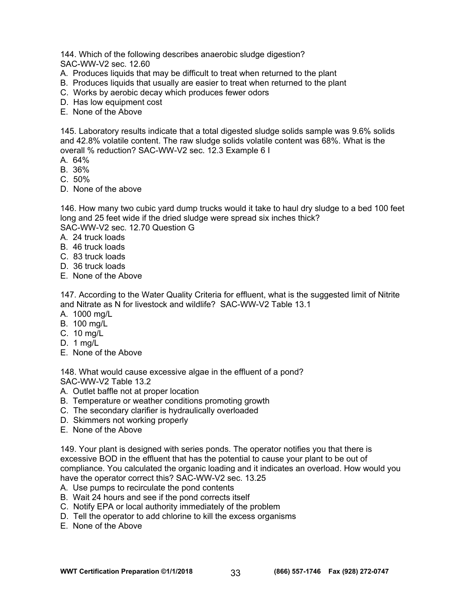144. Which of the following describes anaerobic sludge digestion? SAC-WW-V2 sec. 12.60

- A. Produces liquids that may be difficult to treat when returned to the plant
- B. Produces liquids that usually are easier to treat when returned to the plant
- C. Works by aerobic decay which produces fewer odors
- D. Has low equipment cost
- E. None of the Above

145. Laboratory results indicate that a total digested sludge solids sample was 9.6% solids and 42.8% volatile content. The raw sludge solids volatile content was 68%. What is the overall % reduction? SAC-WW-V2 sec. 12.3 Example 6 I

- A. 64%
- B. 36%
- $C.50%$
- D. None of the above

146. How many two cubic yard dump trucks would it take to haul dry sludge to a bed 100 feet long and 25 feet wide if the dried sludge were spread six inches thick?

SAC-WW-V2 sec. 12.70 Question G

- A. 24 truck loads
- B. 46 truck loads
- C. 83 truck loads
- D. 36 truck loads
- E. None of the Above

147. According to the Water Quality Criteria for effluent, what is the suggested limit of Nitrite and Nitrate as N for livestock and wildlife? SAC-WW-V2 Table 13.1

- A. 1000 mg/L
- B. 100 mg/L
- C. 10 mg/L
- D. 1 mg/L
- E. None of the Above

148. What would cause excessive algae in the effluent of a pond? SAC-WW-V2 Table 13.2

- A. Outlet baffle not at proper location
- B. Temperature or weather conditions promoting growth
- C. The secondary clarifier is hydraulically overloaded
- D. Skimmers not working properly
- E. None of the Above

149. Your plant is designed with series ponds. The operator notifies you that there is excessive BOD in the effluent that has the potential to cause your plant to be out of compliance. You calculated the organic loading and it indicates an overload. How would you have the operator correct this? SAC-WW-V2 sec. 13.25

- A. Use pumps to recirculate the pond contents
- B. Wait 24 hours and see if the pond corrects itself
- C. Notify EPA or local authority immediately of the problem
- D. Tell the operator to add chlorine to kill the excess organisms
- E. None of the Above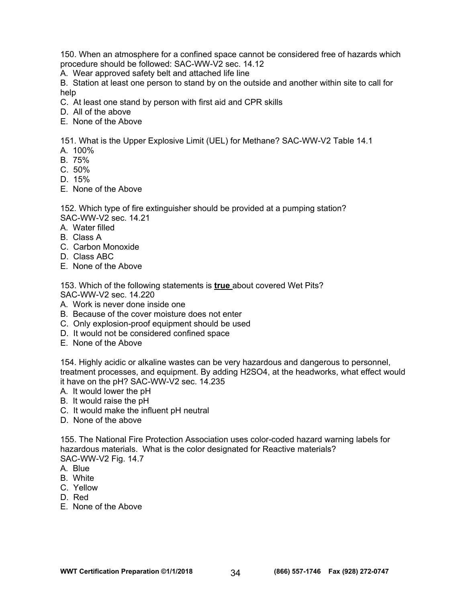150. When an atmosphere for a confined space cannot be considered free of hazards which procedure should be followed: SAC-WW-V2 sec. 14.12

A. Wear approved safety belt and attached life line

B. Station at least one person to stand by on the outside and another within site to call for help

C. At least one stand by person with first aid and CPR skills

- D. All of the above
- E. None of the Above

151. What is the Upper Explosive Limit (UEL) for Methane? SAC-WW-V2 Table 14.1

- A. 100%
- B. 75%
- C. 50%
- D. 15%
- E. None of the Above

152. Which type of fire extinguisher should be provided at a pumping station? SAC-WW-V2 sec. 14.21

- A. Water filled
- B. Class A
- C. Carbon Monoxide
- D. Class ABC
- E. None of the Above

153. Which of the following statements is **true** about covered Wet Pits? SAC-WW-V2 sec. 14.220

- A. Work is never done inside one
- B. Because of the cover moisture does not enter
- C. Only explosion-proof equipment should be used
- D. It would not be considered confined space
- E. None of the Above

154. Highly acidic or alkaline wastes can be very hazardous and dangerous to personnel, treatment processes, and equipment. By adding H2SO4, at the headworks, what effect would it have on the pH? SAC-WW-V2 sec. 14.235

- A. It would lower the pH
- B. It would raise the pH
- C. It would make the influent pH neutral
- D. None of the above

155. The National Fire Protection Association uses color-coded hazard warning labels for hazardous materials. What is the color designated for Reactive materials? SAC-WW-V2 Fig. 14.7

- A. Blue
- B. White
- C. Yellow
- D. Red
- E. None of the Above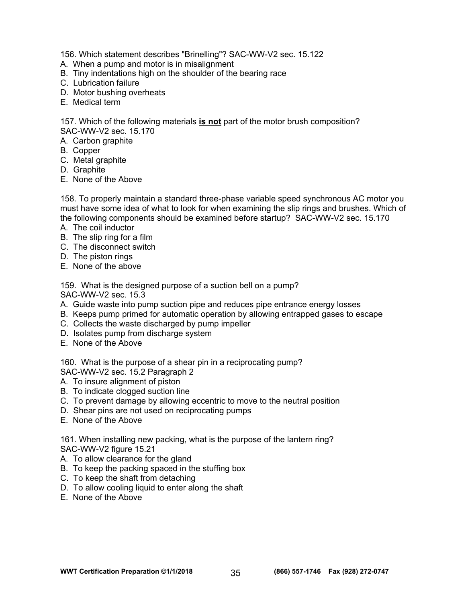156. Which statement describes "Brinelling"? SAC-WW-V2 sec. 15.122

- A. When a pump and motor is in misalignment
- B. Tiny indentations high on the shoulder of the bearing race
- C. Lubrication failure
- D. Motor bushing overheats
- E. Medical term

157. Which of the following materials **is not** part of the motor brush composition? SAC-WW-V2 sec. 15.170

- A. Carbon graphite
- B. Copper
- C. Metal graphite
- D. Graphite
- E. None of the Above

158. To properly maintain a standard three-phase variable speed synchronous AC motor you must have some idea of what to look for when examining the slip rings and brushes. Which of the following components should be examined before startup? SAC-WW-V2 sec. 15.170

- A. The coil inductor
- B. The slip ring for a film
- C. The disconnect switch
- D. The piston rings
- E. None of the above

159. What is the designed purpose of a suction bell on a pump? SAC-WW-V2 sec. 15.3

- A. Guide waste into pump suction pipe and reduces pipe entrance energy losses
- B. Keeps pump primed for automatic operation by allowing entrapped gases to escape
- C. Collects the waste discharged by pump impeller
- D. Isolates pump from discharge system
- E. None of the Above

160. What is the purpose of a shear pin in a reciprocating pump?

SAC-WW-V2 sec. 15.2 Paragraph 2

- A. To insure alignment of piston
- B. To indicate clogged suction line
- C. To prevent damage by allowing eccentric to move to the neutral position
- D. Shear pins are not used on reciprocating pumps
- E. None of the Above

161. When installing new packing, what is the purpose of the lantern ring? SAC-WW-V2 figure 15.21

- A. To allow clearance for the gland
- B. To keep the packing spaced in the stuffing box
- C. To keep the shaft from detaching
- D. To allow cooling liquid to enter along the shaft
- E. None of the Above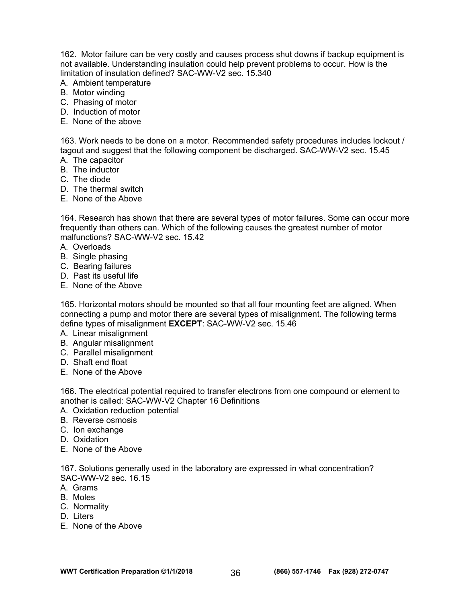162. Motor failure can be very costly and causes process shut downs if backup equipment is not available. Understanding insulation could help prevent problems to occur. How is the limitation of insulation defined? SAC-WW-V2 sec. 15.340

- A. Ambient temperature
- B. Motor winding
- C. Phasing of motor
- D. Induction of motor
- E. None of the above

163. Work needs to be done on a motor. Recommended safety procedures includes lockout / tagout and suggest that the following component be discharged. SAC-WW-V2 sec. 15.45

- A. The capacitor
- B. The inductor
- C. The diode
- D. The thermal switch
- E. None of the Above

164. Research has shown that there are several types of motor failures. Some can occur more frequently than others can. Which of the following causes the greatest number of motor malfunctions? SAC-WW-V2 sec. 15.42

- A. Overloads
- B. Single phasing
- C. Bearing failures
- D. Past its useful life
- E. None of the Above

165. Horizontal motors should be mounted so that all four mounting feet are aligned. When connecting a pump and motor there are several types of misalignment. The following terms define types of misalignment **EXCEPT**: SAC-WW-V2 sec. 15.46

- A. Linear misalignment
- B. Angular misalignment
- C. Parallel misalignment
- D. Shaft end float
- E. None of the Above

166. The electrical potential required to transfer electrons from one compound or element to another is called: SAC-WW-V2 Chapter 16 Definitions

- A. Oxidation reduction potential
- B. Reverse osmosis
- C. Ion exchange
- D. Oxidation
- E. None of the Above

167. Solutions generally used in the laboratory are expressed in what concentration? SAC-WW-V2 sec. 16.15

- A. Grams
- B. Moles
- C. Normality
- D. Liters
- E. None of the Above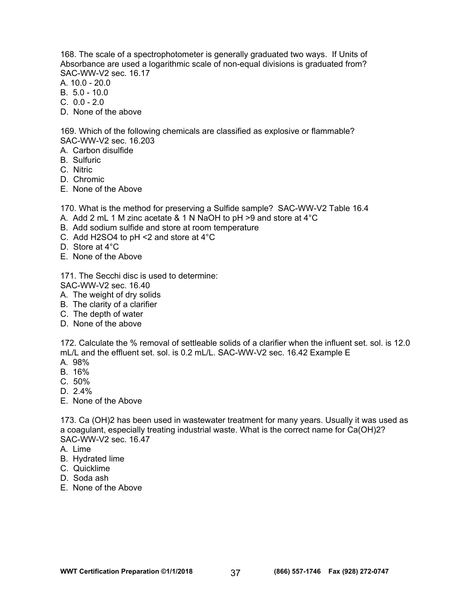168. The scale of a spectrophotometer is generally graduated two ways. If Units of Absorbance are used a logarithmic scale of non-equal divisions is graduated from? SAC-WW-V2 sec. 16.17

- A. 10.0 20.0
- B. 5.0 10.0
- $C. 00 20$
- D. None of the above

169. Which of the following chemicals are classified as explosive or flammable? SAC-WW-V2 sec. 16.203

- A. Carbon disulfide
- B. Sulfuric
- C. Nitric
- D. Chromic
- E. None of the Above

170. What is the method for preserving a Sulfide sample? SAC-WW-V2 Table 16.4

- A. Add 2 mL 1 M zinc acetate & 1 N NaOH to pH >9 and store at 4°C
- B. Add sodium sulfide and store at room temperature
- C. Add H2SO4 to pH <2 and store at 4°C
- D. Store at 4°C
- E. None of the Above

171. The Secchi disc is used to determine:

- SAC-WW-V2 sec. 16.40
- A. The weight of dry solids
- B. The clarity of a clarifier
- C. The depth of water
- D. None of the above

172. Calculate the % removal of settleable solids of a clarifier when the influent set. sol. is 12.0 mL/L and the effluent set. sol. is 0.2 mL/L. SAC-WW-V2 sec. 16.42 Example E

- A. 98%
- B. 16%
- C. 50%
- D. 2.4%
- E. None of the Above

173. Ca (OH)2 has been used in wastewater treatment for many years. Usually it was used as a coagulant, especially treating industrial waste. What is the correct name for Ca(OH)2? SAC-WW-V2 sec. 16.47

- A. Lime
- B. Hydrated lime
- C. Quicklime
- D. Soda ash
- E. None of the Above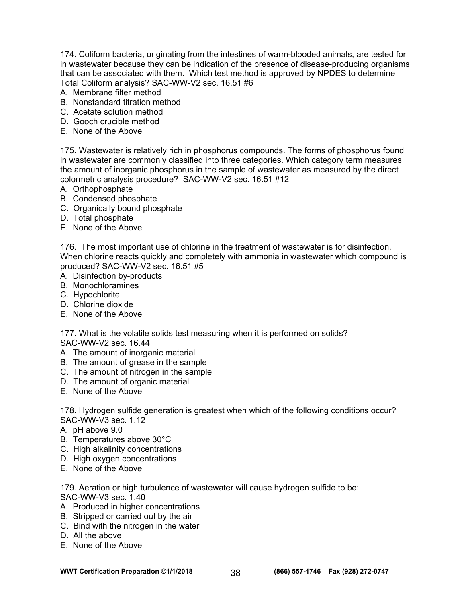174. Coliform bacteria, originating from the intestines of warm-blooded animals, are tested for in wastewater because they can be indication of the presence of disease-producing organisms that can be associated with them. Which test method is approved by NPDES to determine Total Coliform analysis? SAC-WW-V2 sec. 16.51 #6

- A. Membrane filter method
- B. Nonstandard titration method
- C. Acetate solution method
- D. Gooch crucible method
- E. None of the Above

175. Wastewater is relatively rich in phosphorus compounds. The forms of phosphorus found in wastewater are commonly classified into three categories. Which category term measures the amount of inorganic phosphorus in the sample of wastewater as measured by the direct colormetric analysis procedure? SAC-WW-V2 sec. 16.51 #12

- A. Orthophosphate
- B. Condensed phosphate
- C. Organically bound phosphate
- D. Total phosphate
- E. None of the Above

176. The most important use of chlorine in the treatment of wastewater is for disinfection. When chlorine reacts quickly and completely with ammonia in wastewater which compound is produced? SAC-WW-V2 sec. 16.51 #5

- A. Disinfection by-products
- B. Monochloramines
- C. Hypochlorite
- D. Chlorine dioxide
- E. None of the Above

177. What is the volatile solids test measuring when it is performed on solids? SAC-WW-V2 sec. 16.44

- A. The amount of inorganic material
- B. The amount of grease in the sample
- C. The amount of nitrogen in the sample
- D. The amount of organic material
- E. None of the Above

178. Hydrogen sulfide generation is greatest when which of the following conditions occur? SAC-WW-V3 sec. 1.12

- A. pH above 9.0
- B. Temperatures above 30°C
- C. High alkalinity concentrations
- D. High oxygen concentrations
- E. None of the Above

179. Aeration or high turbulence of wastewater will cause hydrogen sulfide to be: SAC-WW-V3 sec. 1.40

- A. Produced in higher concentrations
- B. Stripped or carried out by the air
- C. Bind with the nitrogen in the water
- D. All the above
- E. None of the Above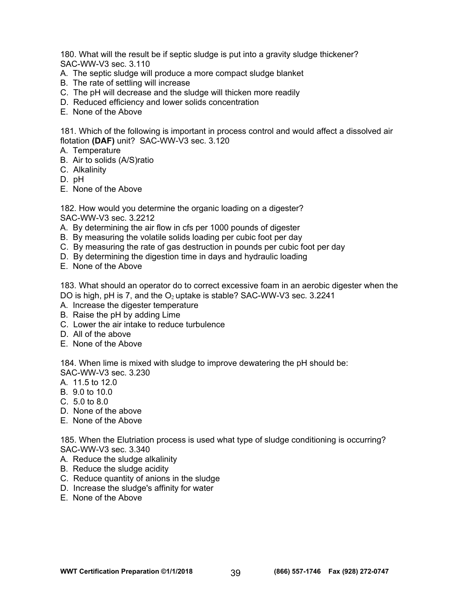180. What will the result be if septic sludge is put into a gravity sludge thickener? SAC-WW-V3 sec. 3.110

- A. The septic sludge will produce a more compact sludge blanket
- B. The rate of settling will increase
- C. The pH will decrease and the sludge will thicken more readily
- D. Reduced efficiency and lower solids concentration
- E. None of the Above

181. Which of the following is important in process control and would affect a dissolved air flotation **(DAF)** unit? SAC-WW-V3 sec. 3.120

- A. Temperature
- B. Air to solids (A/S)ratio
- C. Alkalinity
- D. pH
- E. None of the Above

182. How would you determine the organic loading on a digester? SAC-WW-V3 sec. 3.2212

- A. By determining the air flow in cfs per 1000 pounds of digester
- B. By measuring the volatile solids loading per cubic foot per day
- C. By measuring the rate of gas destruction in pounds per cubic foot per day
- D. By determining the digestion time in days and hydraulic loading
- E. None of the Above

183. What should an operator do to correct excessive foam in an aerobic digester when the DO is high, pH is 7, and the  $O<sub>2</sub>$  uptake is stable? SAC-WW-V3 sec. 3.2241

- A. Increase the digester temperature
- B. Raise the pH by adding Lime
- C. Lower the air intake to reduce turbulence
- D. All of the above
- E. None of the Above

184. When lime is mixed with sludge to improve dewatering the pH should be:

SAC-WW-V3 sec. 3.230

- A. 11.5 to 12.0
- B. 9.0 to 10.0
- C. 5.0 to 8.0
- D. None of the above
- E. None of the Above

185. When the Elutriation process is used what type of sludge conditioning is occurring? SAC-WW-V3 sec. 3.340

- A. Reduce the sludge alkalinity
- B. Reduce the sludge acidity
- C. Reduce quantity of anions in the sludge
- D. Increase the sludge's affinity for water
- E. None of the Above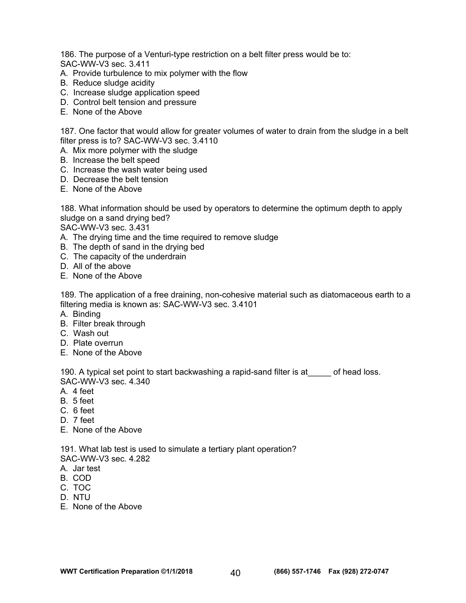186. The purpose of a Venturi-type restriction on a belt filter press would be to: SAC-WW-V3 sec. 3.411

- A. Provide turbulence to mix polymer with the flow
- B. Reduce sludge acidity
- C. Increase sludge application speed
- D. Control belt tension and pressure
- E. None of the Above

187. One factor that would allow for greater volumes of water to drain from the sludge in a belt filter press is to? SAC-WW-V3 sec. 3.4110

- A. Mix more polymer with the sludge
- B. Increase the belt speed
- C. Increase the wash water being used
- D. Decrease the belt tension
- E. None of the Above

188. What information should be used by operators to determine the optimum depth to apply sludge on a sand drying bed?

SAC-WW-V3 sec. 3.431

- A. The drying time and the time required to remove sludge
- B. The depth of sand in the drying bed
- C. The capacity of the underdrain
- D. All of the above
- E. None of the Above

189. The application of a free draining, non-cohesive material such as diatomaceous earth to a filtering media is known as: SAC-WW-V3 sec. 3.4101

- A. Binding
- B. Filter break through
- C. Wash out
- D. Plate overrun
- E. None of the Above

190. A typical set point to start backwashing a rapid-sand filter is at starroof head loss. SAC-WW-V3 sec. 4.340

- A. 4 feet
- B. 5 feet
- C. 6 feet
- D. 7 feet
- E. None of the Above

191. What lab test is used to simulate a tertiary plant operation?

SAC-WW-V3 sec. 4.282

- A. Jar test
- B. COD
- C. TOC
- D. NTU
- E. None of the Above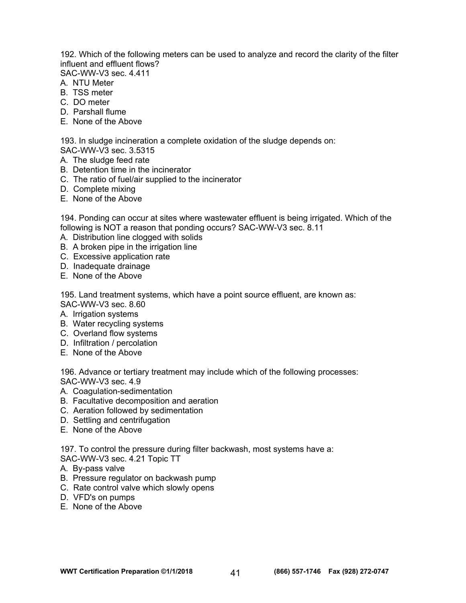192. Which of the following meters can be used to analyze and record the clarity of the filter influent and effluent flows?

SAC-WW-V3 sec. 4.411

- A. NTU Meter
- B. TSS meter
- C. DO meter
- D. Parshall flume
- E. None of the Above

193. In sludge incineration a complete oxidation of the sludge depends on:

- SAC-WW-V3 sec. 3.5315
- A. The sludge feed rate
- B. Detention time in the incinerator
- C. The ratio of fuel/air supplied to the incinerator
- D. Complete mixing
- E. None of the Above

194. Ponding can occur at sites where wastewater effluent is being irrigated. Which of the following is NOT a reason that ponding occurs? SAC-WW-V3 sec. 8.11

- A. Distribution line clogged with solids
- B. A broken pipe in the irrigation line
- C. Excessive application rate
- D. Inadequate drainage
- E. None of the Above

195. Land treatment systems, which have a point source effluent, are known as: SAC-WW-V3 sec. 8.60

- A. Irrigation systems
- B. Water recycling systems
- C. Overland flow systems
- D. Infiltration / percolation
- E. None of the Above

196. Advance or tertiary treatment may include which of the following processes: SAC-WW-V3 sec. 4.9

- A. Coagulation-sedimentation
- B. Facultative decomposition and aeration
- C. Aeration followed by sedimentation
- D. Settling and centrifugation
- E. None of the Above

197. To control the pressure during filter backwash, most systems have a:

SAC-WW-V3 sec. 4.21 Topic TT

- A. By-pass valve
- B. Pressure regulator on backwash pump
- C. Rate control valve which slowly opens
- D. VFD's on pumps
- E. None of the Above